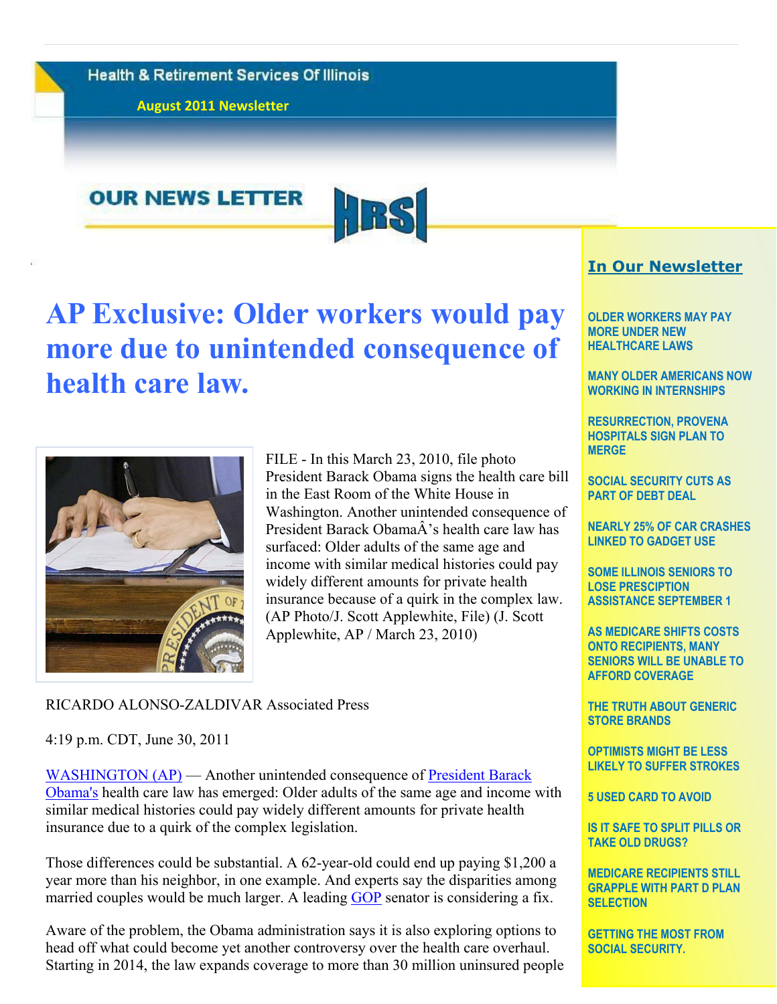**Health & Retirement Services Of Illinois** 

**August 2011 Newsletter**

# **OUR NEWS LETTER**



# **AP Exclusive: Older workers would pay more due to unintended consequence of health care law.**



FILE - In this March 23, 2010, file photo President Barack Obama signs the health care bill in the East Room of the White House in Washington. Another unintended consequence of President Barack ObamaÂ's health care law has surfaced: Older adults of the same age and income with similar medical histories could pay widely different amounts for private health insurance because of a quirk in the complex law. (AP Photo/J. Scott Applewhite, File) (J. Scott Applewhite, AP / March 23, 2010)

## RICARDO ALONSO-ZALDIVAR Associated Press

### 4:19 p.m. CDT, June 30, 2011

WASHINGTON (AP) — Another unintended consequence of President Barack Obama's health care law has emerged: Older adults of the same age and income with similar medical histories could pay widely different amounts for private health insurance due to a quirk of the complex legislation.

Those differences could be substantial. A 62-year-old could end up paying \$1,200 a year more than his neighbor, in one example. And experts say the disparities among married couples would be much larger. A leading GOP senator is considering a fix.

Aware of the problem, the Obama administration says it is also exploring options to head off what could become yet another controversy over the health care overhaul. Starting in 2014, the law expands coverage to more than 30 million uninsured people

## **In Our Newsletter**

**OLDER WORKERS MAY PAY MORE UNDER NEW HEALTHCARE LAWS** 

**MANY OLDER AMERICANS NOW WORKING IN INTERNSHIPS** 

**RESURRECTION, PROVENA HOSPITALS SIGN PLAN TO MERGE** 

**SOCIAL SECURITY CUTS AS PART OF DEBT DEAL** 

**NEARLY 25% OF CAR CRASHES LINKED TO GADGET USE** 

**SOME ILLINOIS SENIORS TO LOSE PRESCIPTION ASSISTANCE SEPTEMBER 1** 

**AS MEDICARE SHIFTS COSTS ONTO RECIPIENTS, MANY SENIORS WILL BE UNABLE TO AFFORD COVERAGE** 

**THE TRUTH ABOUT GENERIC STORE BRANDS** 

**OPTIMISTS MIGHT BE LESS LIKELY TO SUFFER STROKES** 

**5 USED CARD TO AVOID** 

**IS IT SAFE TO SPLIT PILLS OR TAKE OLD DRUGS?** 

**MEDICARE RECIPIENTS STILL GRAPPLE WITH PART D PLAN SELECTION** 

**GETTING THE MOST FROM SOCIAL SECURITY.**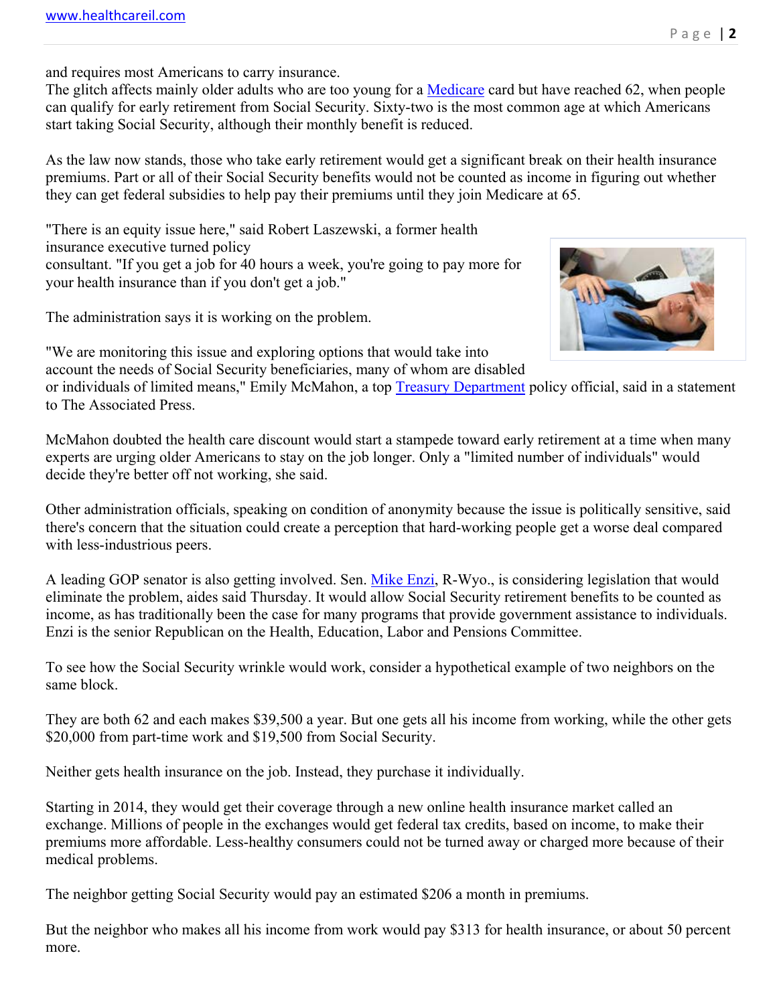and requires most Americans to carry insurance.

The glitch affects mainly older adults who are too young for a Medicare card but have reached 62, when people can qualify for early retirement from Social Security. Sixty-two is the most common age at which Americans start taking Social Security, although their monthly benefit is reduced.

As the law now stands, those who take early retirement would get a significant break on their health insurance premiums. Part or all of their Social Security benefits would not be counted as income in figuring out whether they can get federal subsidies to help pay their premiums until they join Medicare at 65.

"There is an equity issue here," said Robert Laszewski, a former health insurance executive turned policy consultant. "If you get a job for 40 hours a week, you're going to pay more for your health insurance than if you don't get a job."

The administration says it is working on the problem.



"We are monitoring this issue and exploring options that would take into account the needs of Social Security beneficiaries, many of whom are disabled

or individuals of limited means," Emily McMahon, a top Treasury Department policy official, said in a statement to The Associated Press.

McMahon doubted the health care discount would start a stampede toward early retirement at a time when many experts are urging older Americans to stay on the job longer. Only a "limited number of individuals" would decide they're better off not working, she said.

Other administration officials, speaking on condition of anonymity because the issue is politically sensitive, said there's concern that the situation could create a perception that hard-working people get a worse deal compared with less-industrious peers.

A leading GOP senator is also getting involved. Sen. Mike Enzi, R-Wyo., is considering legislation that would eliminate the problem, aides said Thursday. It would allow Social Security retirement benefits to be counted as income, as has traditionally been the case for many programs that provide government assistance to individuals. Enzi is the senior Republican on the Health, Education, Labor and Pensions Committee.

To see how the Social Security wrinkle would work, consider a hypothetical example of two neighbors on the same block.

They are both 62 and each makes \$39,500 a year. But one gets all his income from working, while the other gets \$20,000 from part-time work and \$19,500 from Social Security.

Neither gets health insurance on the job. Instead, they purchase it individually.

Starting in 2014, they would get their coverage through a new online health insurance market called an exchange. Millions of people in the exchanges would get federal tax credits, based on income, to make their premiums more affordable. Less-healthy consumers could not be turned away or charged more because of their medical problems.

The neighbor getting Social Security would pay an estimated \$206 a month in premiums.

But the neighbor who makes all his income from work would pay \$313 for health insurance, or about 50 percent more.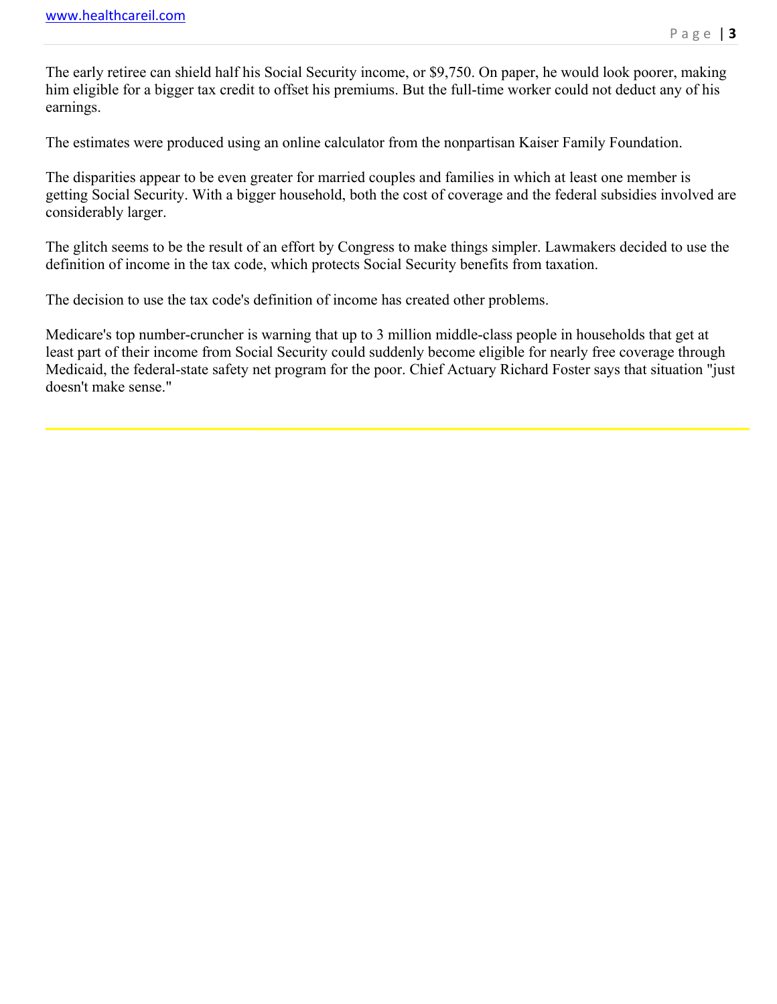The early retiree can shield half his Social Security income, or \$9,750. On paper, he would look poorer, making him eligible for a bigger tax credit to offset his premiums. But the full-time worker could not deduct any of his earnings.

The estimates were produced using an online calculator from the nonpartisan Kaiser Family Foundation.

The disparities appear to be even greater for married couples and families in which at least one member is getting Social Security. With a bigger household, both the cost of coverage and the federal subsidies involved are considerably larger.

The glitch seems to be the result of an effort by Congress to make things simpler. Lawmakers decided to use the definition of income in the tax code, which protects Social Security benefits from taxation.

The decision to use the tax code's definition of income has created other problems.

Medicare's top number-cruncher is warning that up to 3 million middle-class people in households that get at least part of their income from Social Security could suddenly become eligible for nearly free coverage through Medicaid, the federal-state safety net program for the poor. Chief Actuary Richard Foster says that situation "just doesn't make sense."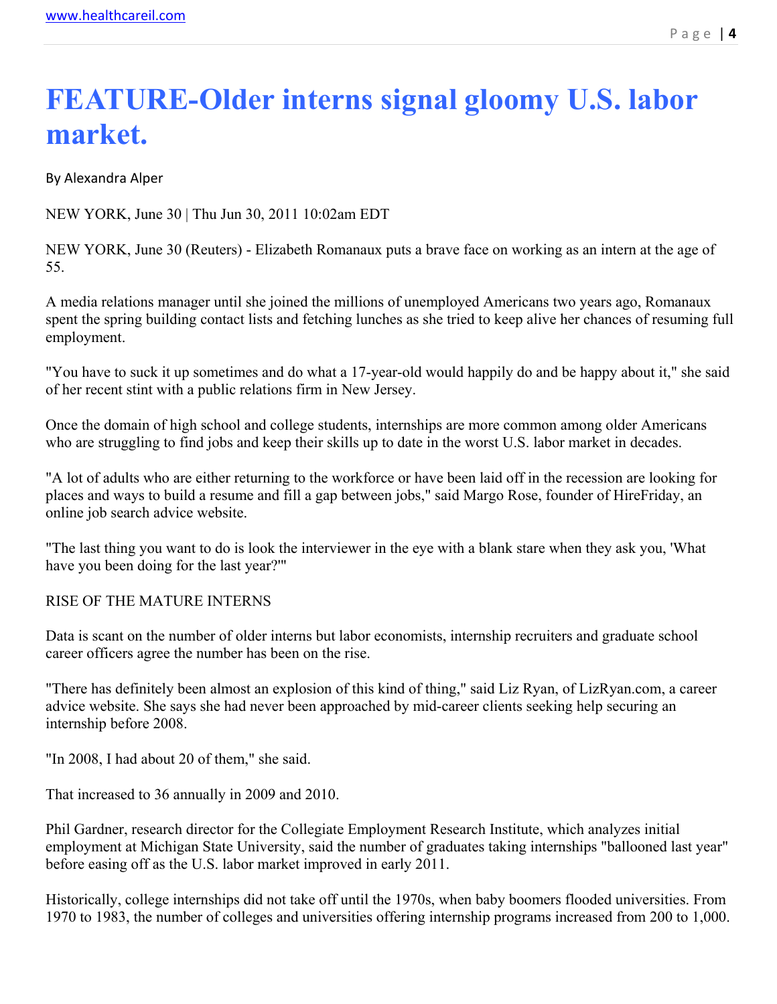# **FEATURE-Older interns signal gloomy U.S. labor market.**

By Alexandra Alper

NEW YORK, June 30 | Thu Jun 30, 2011 10:02am EDT

NEW YORK, June 30 (Reuters) - Elizabeth Romanaux puts a brave face on working as an intern at the age of 55.

A media relations manager until she joined the millions of unemployed Americans two years ago, Romanaux spent the spring building contact lists and fetching lunches as she tried to keep alive her chances of resuming full employment.

"You have to suck it up sometimes and do what a 17-year-old would happily do and be happy about it," she said of her recent stint with a public relations firm in New Jersey.

Once the domain of high school and college students, internships are more common among older Americans who are struggling to find jobs and keep their skills up to date in the worst U.S. labor market in decades.

"A lot of adults who are either returning to the workforce or have been laid off in the recession are looking for places and ways to build a resume and fill a gap between jobs," said Margo Rose, founder of HireFriday, an online job search advice website.

"The last thing you want to do is look the interviewer in the eye with a blank stare when they ask you, 'What have you been doing for the last year?'"

RISE OF THE MATURE INTERNS

Data is scant on the number of older interns but labor economists, internship recruiters and graduate school career officers agree the number has been on the rise.

"There has definitely been almost an explosion of this kind of thing," said Liz Ryan, of LizRyan.com, a career advice website. She says she had never been approached by mid-career clients seeking help securing an internship before 2008.

"In 2008, I had about 20 of them," she said.

That increased to 36 annually in 2009 and 2010.

Phil Gardner, research director for the Collegiate Employment Research Institute, which analyzes initial employment at Michigan State University, said the number of graduates taking internships "ballooned last year" before easing off as the U.S. labor market improved in early 2011.

Historically, college internships did not take off until the 1970s, when baby boomers flooded universities. From 1970 to 1983, the number of colleges and universities offering internship programs increased from 200 to 1,000.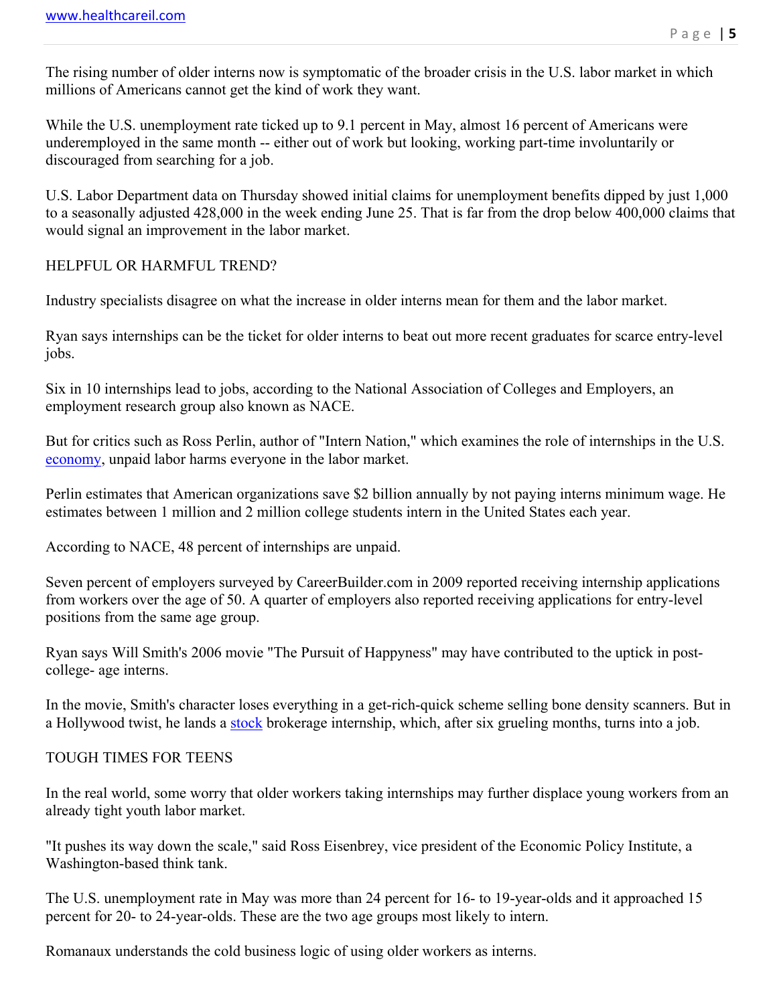The rising number of older interns now is symptomatic of the broader crisis in the U.S. labor market in which millions of Americans cannot get the kind of work they want.

While the U.S. unemployment rate ticked up to 9.1 percent in May, almost 16 percent of Americans were underemployed in the same month -- either out of work but looking, working part-time involuntarily or discouraged from searching for a job.

U.S. Labor Department data on Thursday showed initial claims for unemployment benefits dipped by just 1,000 to a seasonally adjusted 428,000 in the week ending June 25. That is far from the drop below 400,000 claims that would signal an improvement in the labor market.

## HELPFUL OR HARMFUL TREND?

Industry specialists disagree on what the increase in older interns mean for them and the labor market.

Ryan says internships can be the ticket for older interns to beat out more recent graduates for scarce entry-level jobs.

Six in 10 internships lead to jobs, according to the National Association of Colleges and Employers, an employment research group also known as NACE.

But for critics such as Ross Perlin, author of "Intern Nation," which examines the role of internships in the U.S. economy, unpaid labor harms everyone in the labor market.

Perlin estimates that American organizations save \$2 billion annually by not paying interns minimum wage. He estimates between 1 million and 2 million college students intern in the United States each year.

According to NACE, 48 percent of internships are unpaid.

Seven percent of employers surveyed by CareerBuilder.com in 2009 reported receiving internship applications from workers over the age of 50. A quarter of employers also reported receiving applications for entry-level positions from the same age group.

Ryan says Will Smith's 2006 movie "The Pursuit of Happyness" may have contributed to the uptick in postcollege- age interns.

In the movie, Smith's character loses everything in a get-rich-quick scheme selling bone density scanners. But in a Hollywood twist, he lands a stock brokerage internship, which, after six grueling months, turns into a job.

## TOUGH TIMES FOR TEENS

In the real world, some worry that older workers taking internships may further displace young workers from an already tight youth labor market.

"It pushes its way down the scale," said Ross Eisenbrey, vice president of the Economic Policy Institute, a Washington-based think tank.

The U.S. unemployment rate in May was more than 24 percent for 16- to 19-year-olds and it approached 15 percent for 20- to 24-year-olds. These are the two age groups most likely to intern.

Romanaux understands the cold business logic of using older workers as interns.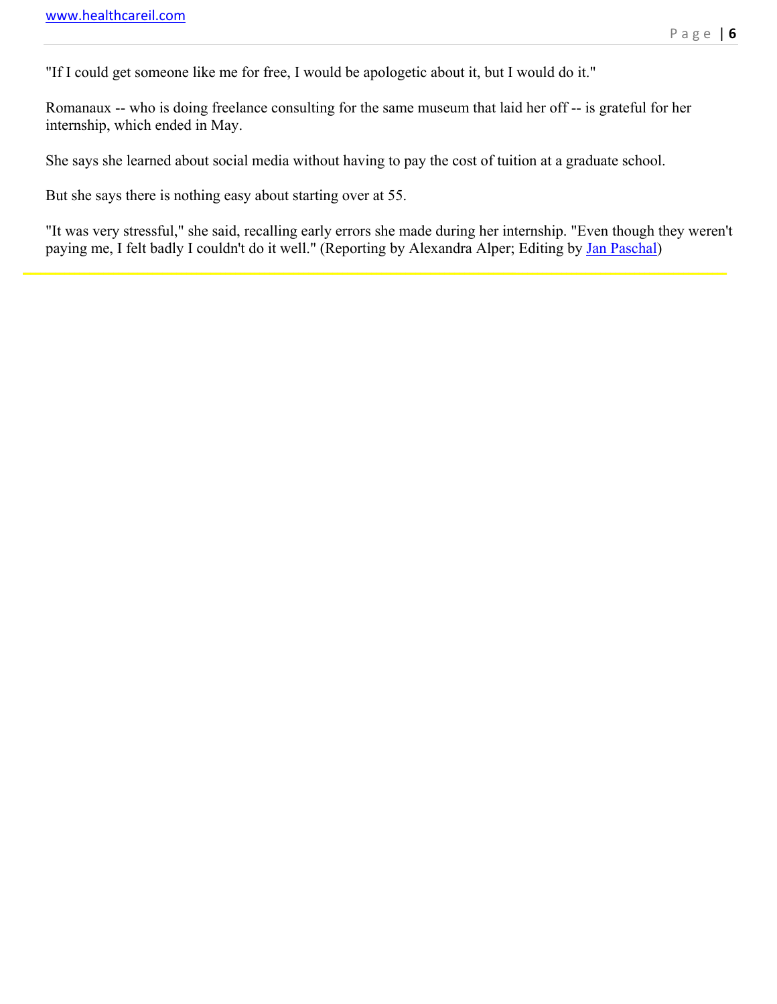"If I could get someone like me for free, I would be apologetic about it, but I would do it."

Romanaux -- who is doing freelance consulting for the same museum that laid her off -- is grateful for her internship, which ended in May.

She says she learned about social media without having to pay the cost of tuition at a graduate school.

But she says there is nothing easy about starting over at 55.

"It was very stressful," she said, recalling early errors she made during her internship. "Even though they weren't paying me, I felt badly I couldn't do it well." (Reporting by Alexandra Alper; Editing by Jan Paschal)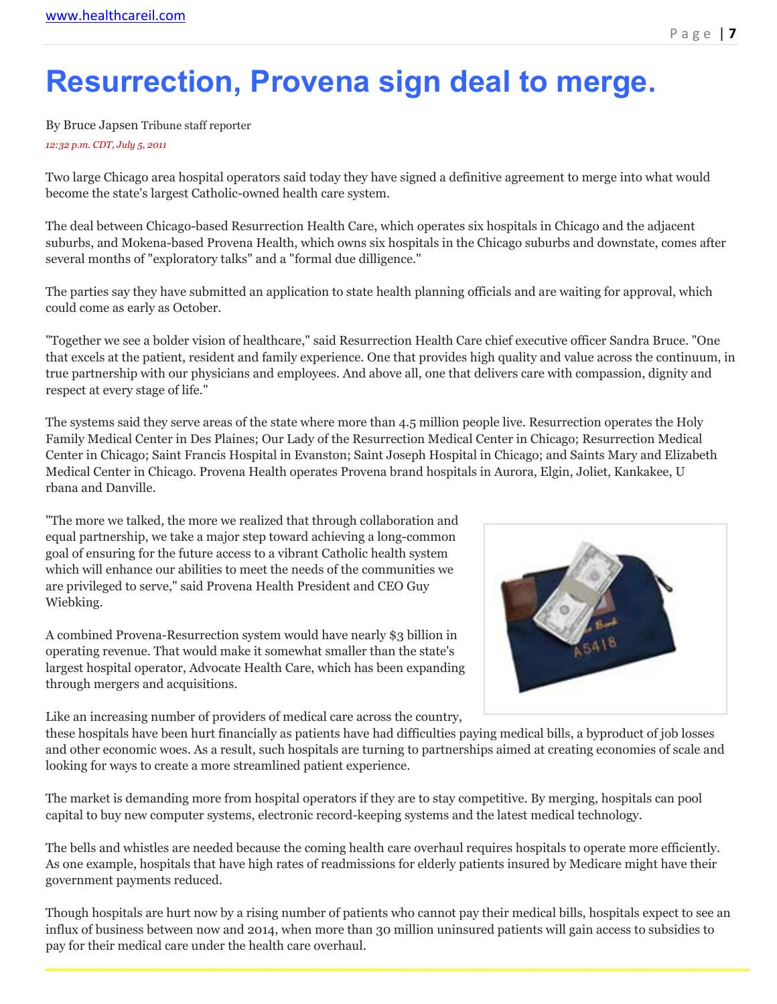# **Resurrection, Provena sign deal to merge.**

By Bruce Japsen Tribune staff reporter

#### *12:32 p.m. CDT, July 5, 2011*

Two large Chicago area hospital operators said today they have signed a definitive agreement to merge into what would become the state's largest Catholic-owned health care system.

The deal between Chicago-based Resurrection Health Care, which operates six hospitals in Chicago and the adjacent suburbs, and Mokena-based Provena Health, which owns six hospitals in the Chicago suburbs and downstate, comes after several months of "exploratory talks" and a "formal due dilligence."

The parties say they have submitted an application to state health planning officials and are waiting for approval, which could come as early as October.

"Together we see a bolder vision of healthcare," said Resurrection Health Care chief executive officer Sandra Bruce. "One that excels at the patient, resident and family experience. One that provides high quality and value across the continuum, in true partnership with our physicians and employees. And above all, one that delivers care with compassion, dignity and respect at every stage of life."

The systems said they serve areas of the state where more than 4.5 million people live. Resurrection operates the Holy Family Medical Center in Des Plaines; Our Lady of the Resurrection Medical Center in Chicago; Resurrection Medical Center in Chicago; Saint Francis Hospital in Evanston; Saint Joseph Hospital in Chicago; and Saints Mary and Elizabeth Medical Center in Chicago. Provena Health operates Provena brand hospitals in Aurora, Elgin, Joliet, Kankakee, U rbana and Danville.

"The more we talked, the more we realized that through collaboration and equal partnership, we take a major step toward achieving a long-common goal of ensuring for the future access to a vibrant Catholic health system which will enhance our abilities to meet the needs of the communities we are privileged to serve," said Provena Health President and CEO Guy Wiebking.

A combined Provena-Resurrection system would have nearly \$3 billion in operating revenue. That would make it somewhat smaller than the state's largest hospital operator, Advocate Health Care, which has been expanding through mergers and acquisitions.

Like an increasing number of providers of medical care across the country,



these hospitals have been hurt financially as patients have had difficulties paying medical bills, a byproduct of job losses and other economic woes. As a result, such hospitals are turning to partnerships aimed at creating economies of scale and looking for ways to create a more streamlined patient experience.

The market is demanding more from hospital operators if they are to stay competitive. By merging, hospitals can pool capital to buy new computer systems, electronic record-keeping systems and the latest medical technology.

The bells and whistles are needed because the coming health care overhaul requires hospitals to operate more efficiently. As one example, hospitals that have high rates of readmissions for elderly patients insured by Medicare might have their government payments reduced.

Though hospitals are hurt now by a rising number of patients who cannot pay their medical bills, hospitals expect to see an influx of business between now and 2014, when more than 30 million uninsured patients will gain access to subsidies to pay for their medical care under the health care overhaul.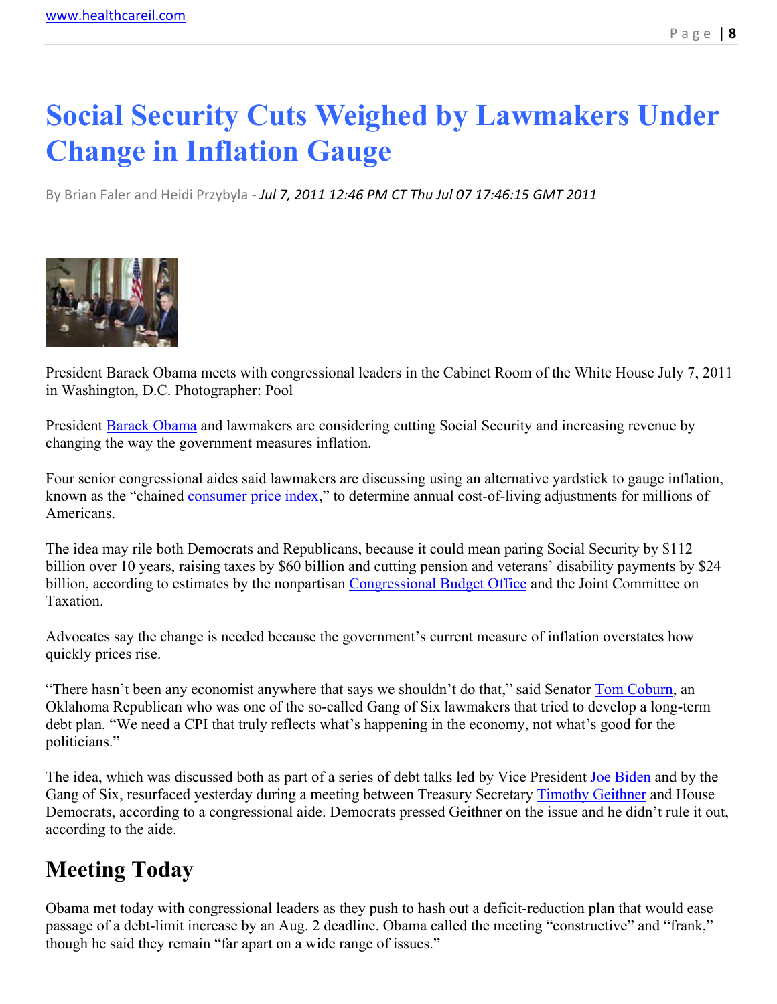# **Social Security Cuts Weighed by Lawmakers Under Change in Inflation Gauge**

By Brian Faler and Heidi Przybyla ‐ *Jul 7, 2011 12:46 PM CT Thu Jul 07 17:46:15 GMT 2011*



President Barack Obama meets with congressional leaders in the Cabinet Room of the White House July 7, 2011 in Washington, D.C. Photographer: Pool

President Barack Obama and lawmakers are considering cutting Social Security and increasing revenue by changing the way the government measures inflation.

Four senior congressional aides said lawmakers are discussing using an alternative yardstick to gauge inflation, known as the "chained consumer price index," to determine annual cost-of-living adjustments for millions of Americans.

The idea may rile both Democrats and Republicans, because it could mean paring Social Security by \$112 billion over 10 years, raising taxes by \$60 billion and cutting pension and veterans' disability payments by \$24 billion, according to estimates by the nonpartisan Congressional Budget Office and the Joint Committee on Taxation.

Advocates say the change is needed because the government's current measure of inflation overstates how quickly prices rise.

"There hasn't been any economist anywhere that says we shouldn't do that," said Senator Tom Coburn, an Oklahoma Republican who was one of the so-called Gang of Six lawmakers that tried to develop a long-term debt plan. "We need a CPI that truly reflects what's happening in the economy, not what's good for the politicians."

The idea, which was discussed both as part of a series of debt talks led by Vice President Joe Biden and by the Gang of Six, resurfaced yesterday during a meeting between Treasury Secretary Timothy Geithner and House Democrats, according to a congressional aide. Democrats pressed Geithner on the issue and he didn't rule it out, according to the aide.

# **Meeting Today**

Obama met today with congressional leaders as they push to hash out a deficit-reduction plan that would ease passage of a debt-limit increase by an Aug. 2 deadline. Obama called the meeting "constructive" and "frank," though he said they remain "far apart on a wide range of issues."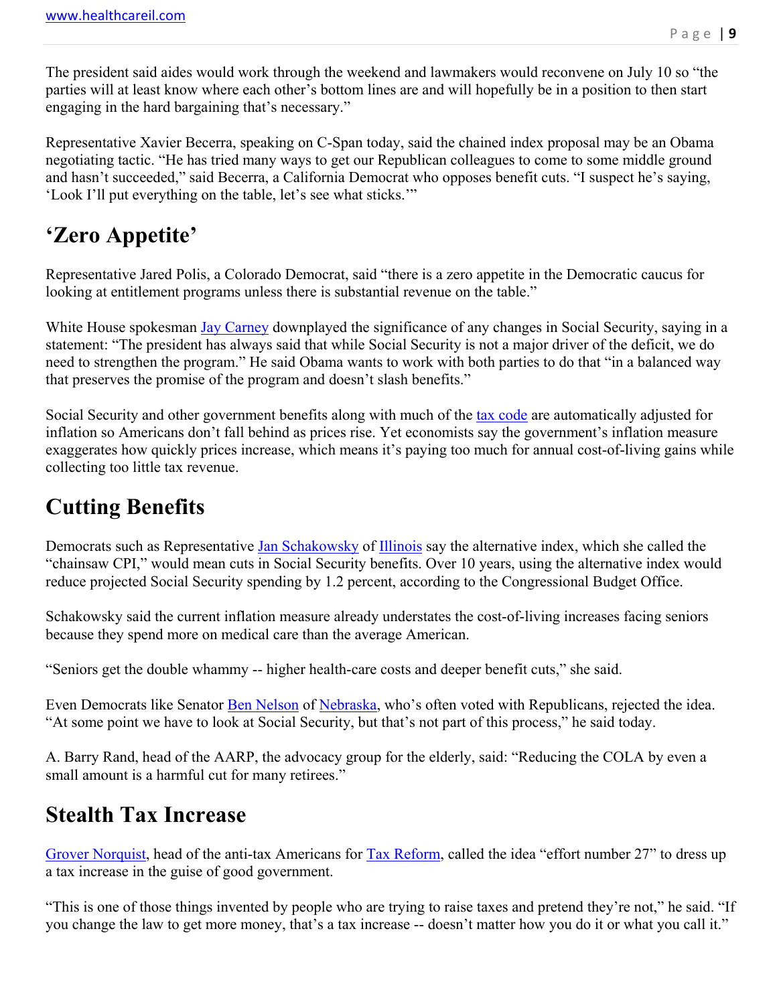The president said aides would work through the weekend and lawmakers would reconvene on July 10 so "the parties will at least know where each other's bottom lines are and will hopefully be in a position to then start engaging in the hard bargaining that's necessary."

Representative Xavier Becerra, speaking on C-Span today, said the chained index proposal may be an Obama negotiating tactic. "He has tried many ways to get our Republican colleagues to come to some middle ground and hasn't succeeded," said Becerra, a California Democrat who opposes benefit cuts. "I suspect he's saying, 'Look I'll put everything on the table, let's see what sticks.'"

# **'Zero Appetite'**

Representative Jared Polis, a Colorado Democrat, said "there is a zero appetite in the Democratic caucus for looking at entitlement programs unless there is substantial revenue on the table."

White House spokesman Jay Carney downplayed the significance of any changes in Social Security, saying in a statement: "The president has always said that while Social Security is not a major driver of the deficit, we do need to strengthen the program." He said Obama wants to work with both parties to do that "in a balanced way that preserves the promise of the program and doesn't slash benefits."

Social Security and other government benefits along with much of the tax code are automatically adjusted for inflation so Americans don't fall behind as prices rise. Yet economists say the government's inflation measure exaggerates how quickly prices increase, which means it's paying too much for annual cost-of-living gains while collecting too little tax revenue.

# **Cutting Benefits**

Democrats such as Representative Jan Schakowsky of Illinois say the alternative index, which she called the "chainsaw CPI," would mean cuts in Social Security benefits. Over 10 years, using the alternative index would reduce projected Social Security spending by 1.2 percent, according to the Congressional Budget Office.

Schakowsky said the current inflation measure already understates the cost-of-living increases facing seniors because they spend more on medical care than the average American.

"Seniors get the double whammy -- higher health-care costs and deeper benefit cuts," she said.

Even Democrats like Senator Ben Nelson of Nebraska, who's often voted with Republicans, rejected the idea. "At some point we have to look at Social Security, but that's not part of this process," he said today.

A. Barry Rand, head of the AARP, the advocacy group for the elderly, said: "Reducing the COLA by even a small amount is a harmful cut for many retirees."

# **Stealth Tax Increase**

Grover Norquist, head of the anti-tax Americans for Tax Reform, called the idea "effort number 27" to dress up a tax increase in the guise of good government.

"This is one of those things invented by people who are trying to raise taxes and pretend they're not," he said. "If you change the law to get more money, that's a tax increase -- doesn't matter how you do it or what you call it."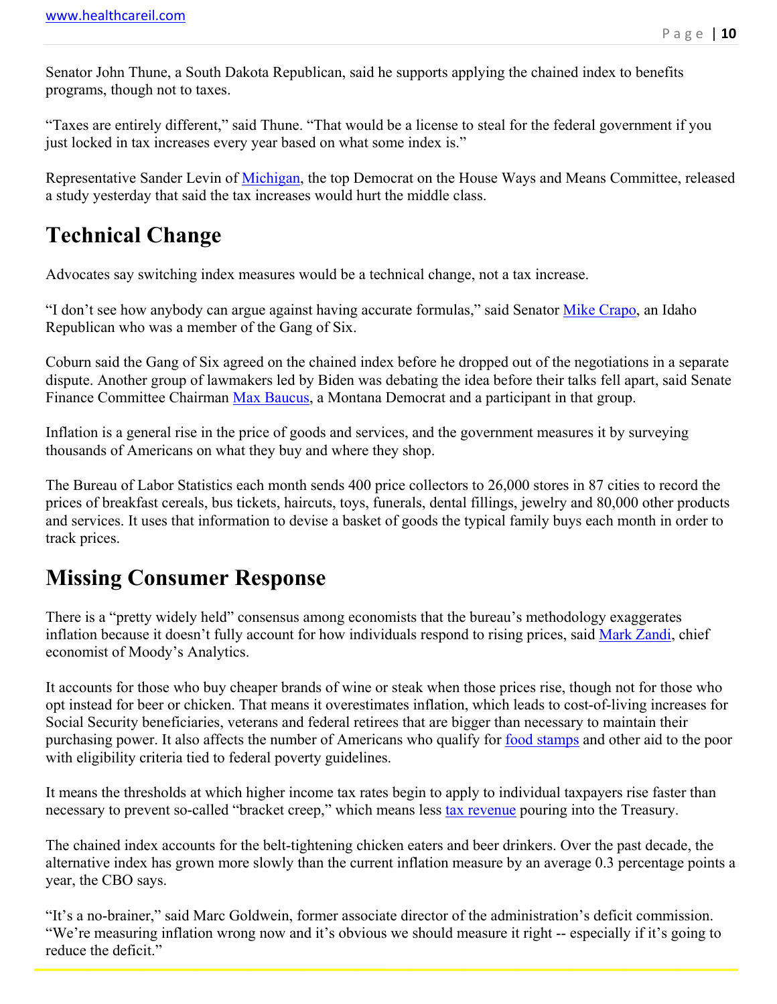Senator John Thune, a South Dakota Republican, said he supports applying the chained index to benefits programs, though not to taxes.

"Taxes are entirely different," said Thune. "That would be a license to steal for the federal government if you just locked in tax increases every year based on what some index is."

Representative Sander Levin of Michigan, the top Democrat on the House Ways and Means Committee, released a study yesterday that said the tax increases would hurt the middle class.

# **Technical Change**

Advocates say switching index measures would be a technical change, not a tax increase.

"I don't see how anybody can argue against having accurate formulas," said Senator Mike Crapo, an Idaho Republican who was a member of the Gang of Six.

Coburn said the Gang of Six agreed on the chained index before he dropped out of the negotiations in a separate dispute. Another group of lawmakers led by Biden was debating the idea before their talks fell apart, said Senate Finance Committee Chairman Max Baucus, a Montana Democrat and a participant in that group.

Inflation is a general rise in the price of goods and services, and the government measures it by surveying thousands of Americans on what they buy and where they shop.

The Bureau of Labor Statistics each month sends 400 price collectors to 26,000 stores in 87 cities to record the prices of breakfast cereals, bus tickets, haircuts, toys, funerals, dental fillings, jewelry and 80,000 other products and services. It uses that information to devise a basket of goods the typical family buys each month in order to track prices.

# **Missing Consumer Response**

There is a "pretty widely held" consensus among economists that the bureau's methodology exaggerates inflation because it doesn't fully account for how individuals respond to rising prices, said Mark Zandi, chief economist of Moody's Analytics.

It accounts for those who buy cheaper brands of wine or steak when those prices rise, though not for those who opt instead for beer or chicken. That means it overestimates inflation, which leads to cost-of-living increases for Social Security beneficiaries, veterans and federal retirees that are bigger than necessary to maintain their purchasing power. It also affects the number of Americans who qualify for food stamps and other aid to the poor with eligibility criteria tied to federal poverty guidelines.

It means the thresholds at which higher income tax rates begin to apply to individual taxpayers rise faster than necessary to prevent so-called "bracket creep," which means less tax revenue pouring into the Treasury.

The chained index accounts for the belt-tightening chicken eaters and beer drinkers. Over the past decade, the alternative index has grown more slowly than the current inflation measure by an average 0.3 percentage points a year, the CBO says.

"It's a no-brainer," said Marc Goldwein, former associate director of the administration's deficit commission. "We're measuring inflation wrong now and it's obvious we should measure it right -- especially if it's going to reduce the deficit."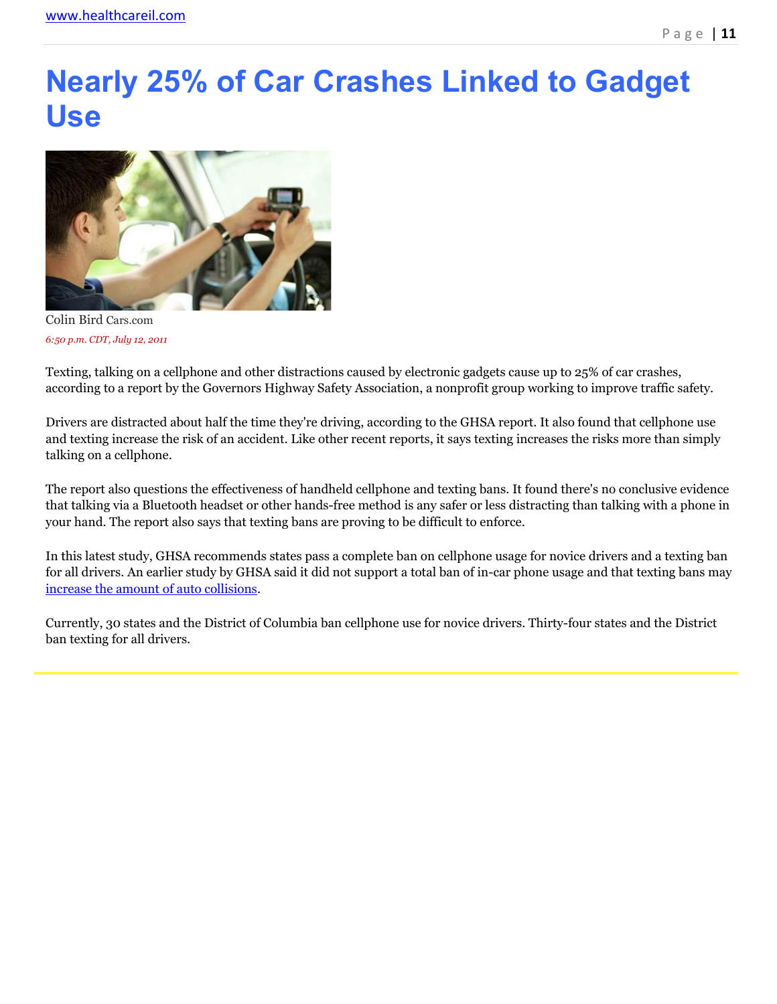# **Nearly 25% of Car Crashes Linked to Gadget Use**



Colin Bird Cars.com *6:50 p.m. CDT, July 12, 2011* 

Texting, talking on a cellphone and other distractions caused by electronic gadgets cause up to 25% of car crashes, according to a report by the Governors Highway Safety Association, a nonprofit group working to improve traffic safety.

Drivers are distracted about half the time they're driving, according to the GHSA report. It also found that cellphone use and texting increase the risk of an accident. Like other recent reports, it says texting increases the risks more than simply talking on a cellphone.

The report also questions the effectiveness of handheld cellphone and texting bans. It found there's no conclusive evidence that talking via a Bluetooth headset or other hands-free method is any safer or less distracting than talking with a phone in your hand. The report also says that texting bans are proving to be difficult to enforce.

In this latest study, GHSA recommends states pass a complete ban on cellphone usage for novice drivers and a texting ban for all drivers. An earlier study by GHSA said it did not support a total ban of in-car phone usage and that texting bans may increase the amount of auto collisions.

Currently, 30 states and the District of Columbia ban cellphone use for novice drivers. Thirty-four states and the District ban texting for all drivers.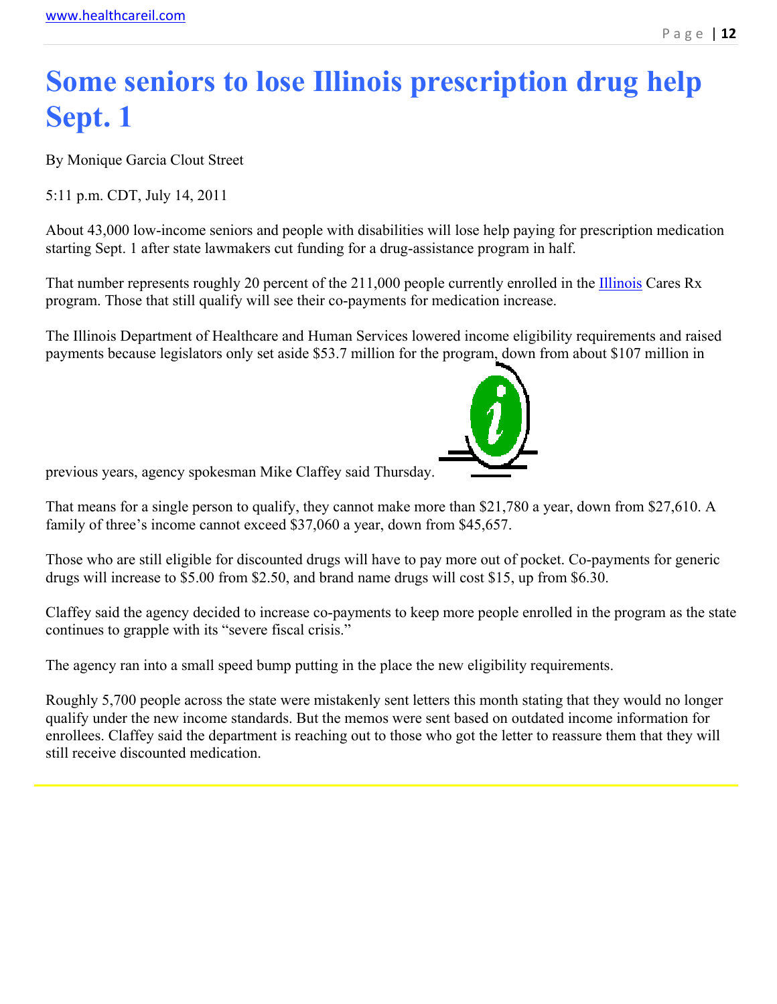# **Some seniors to lose Illinois prescription drug help Sept. 1**

By Monique Garcia Clout Street

5:11 p.m. CDT, July 14, 2011

About 43,000 low-income seniors and people with disabilities will lose help paying for prescription medication starting Sept. 1 after state lawmakers cut funding for a drug-assistance program in half.

That number represents roughly 20 percent of the 211,000 people currently enrolled in the Illinois Cares Rx program. Those that still qualify will see their co-payments for medication increase.

The Illinois Department of Healthcare and Human Services lowered income eligibility requirements and raised payments because legislators only set aside \$53.7 million for the program, down from about \$107 million in



That means for a single person to qualify, they cannot make more than \$21,780 a year, down from \$27,610. A family of three's income cannot exceed \$37,060 a year, down from \$45,657.

Those who are still eligible for discounted drugs will have to pay more out of pocket. Co-payments for generic drugs will increase to \$5.00 from \$2.50, and brand name drugs will cost \$15, up from \$6.30.

Claffey said the agency decided to increase co-payments to keep more people enrolled in the program as the state continues to grapple with its "severe fiscal crisis."

The agency ran into a small speed bump putting in the place the new eligibility requirements.

Roughly 5,700 people across the state were mistakenly sent letters this month stating that they would no longer qualify under the new income standards. But the memos were sent based on outdated income information for enrollees. Claffey said the department is reaching out to those who got the letter to reassure them that they will still receive discounted medication.

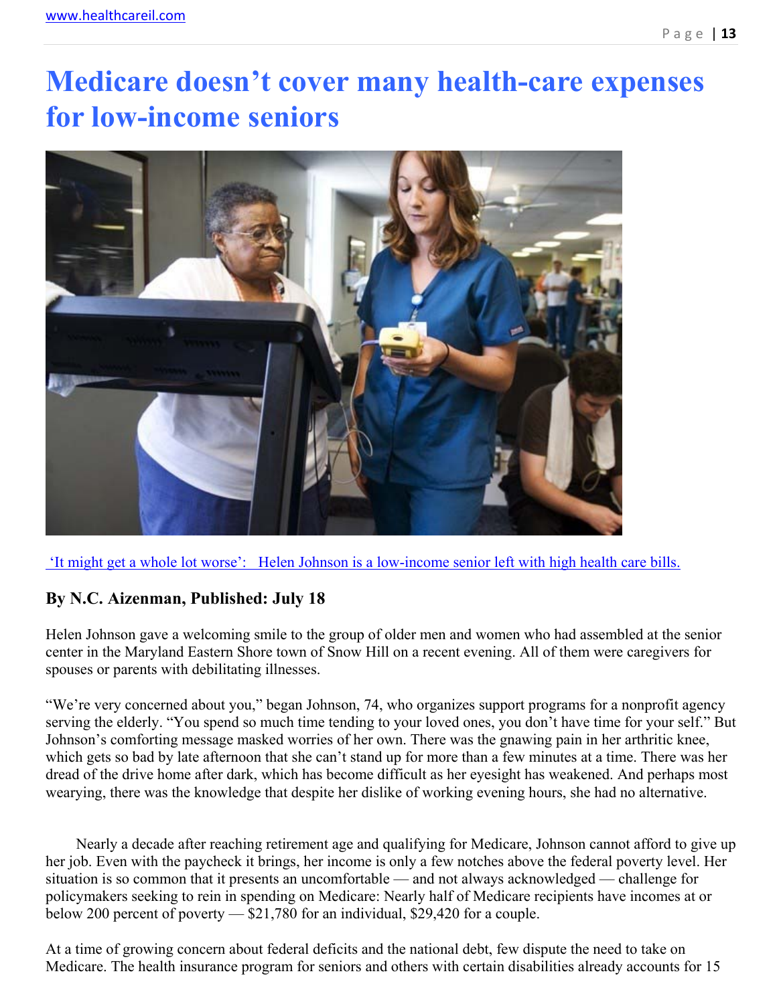### Page | **13**

# **Medicare doesn't cover many health-care expenses for low-income seniors**



'It might get a whole lot worse': Helen Johnson is a low-income senior left with high health care bills.

## **By N.C. Aizenman, Published: July 18**

Helen Johnson gave a welcoming smile to the group of older men and women who had assembled at the senior center in the Maryland Eastern Shore town of Snow Hill on a recent evening. All of them were caregivers for spouses or parents with debilitating illnesses.

"We're very concerned about you," began Johnson, 74, who organizes support programs for a nonprofit agency serving the elderly. "You spend so much time tending to your loved ones, you don't have time for your self." But Johnson's comforting message masked worries of her own. There was the gnawing pain in her arthritic knee, which gets so bad by late afternoon that she can't stand up for more than a few minutes at a time. There was her dread of the drive home after dark, which has become difficult as her eyesight has weakened. And perhaps most wearying, there was the knowledge that despite her dislike of working evening hours, she had no alternative.

Nearly a decade after reaching retirement age and qualifying for Medicare, Johnson cannot afford to give up her job. Even with the paycheck it brings, her income is only a few notches above the federal poverty level. Her situation is so common that it presents an uncomfortable — and not always acknowledged — challenge for policymakers seeking to rein in spending on Medicare: Nearly half of Medicare recipients have incomes at or below 200 percent of poverty — \$21,780 for an individual, \$29,420 for a couple.

At a time of growing concern about federal deficits and the national debt, few dispute the need to take on Medicare. The health insurance program for seniors and others with certain disabilities already accounts for 15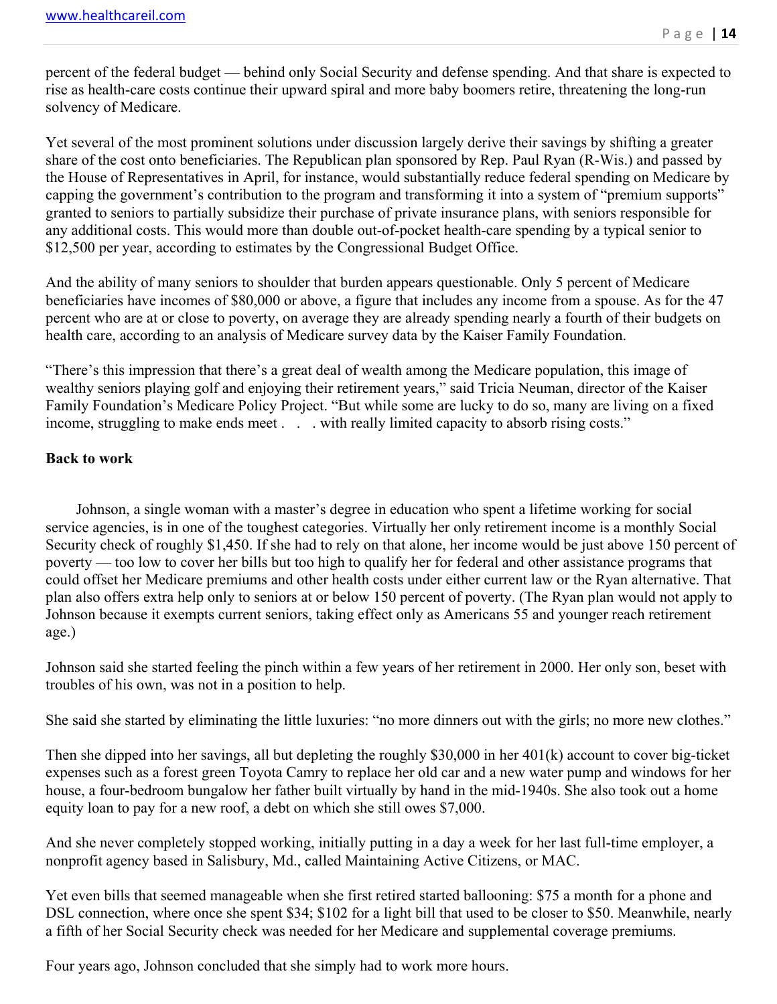percent of the federal budget — behind only Social Security and defense spending. And that share is expected to rise as health-care costs continue their upward spiral and more baby boomers retire, threatening the long-run solvency of Medicare.

Yet several of the most prominent solutions under discussion largely derive their savings by shifting a greater share of the cost onto beneficiaries. The Republican plan sponsored by Rep. Paul Ryan (R-Wis.) and passed by the House of Representatives in April, for instance, would substantially reduce federal spending on Medicare by capping the government's contribution to the program and transforming it into a system of "premium supports" granted to seniors to partially subsidize their purchase of private insurance plans, with seniors responsible for any additional costs. This would more than double out-of-pocket health-care spending by a typical senior to \$12,500 per year, according to estimates by the Congressional Budget Office.

And the ability of many seniors to shoulder that burden appears questionable. Only 5 percent of Medicare beneficiaries have incomes of \$80,000 or above, a figure that includes any income from a spouse. As for the 47 percent who are at or close to poverty, on average they are already spending nearly a fourth of their budgets on health care, according to an analysis of Medicare survey data by the Kaiser Family Foundation.

"There's this impression that there's a great deal of wealth among the Medicare population, this image of wealthy seniors playing golf and enjoying their retirement years," said Tricia Neuman, director of the Kaiser Family Foundation's Medicare Policy Project. "But while some are lucky to do so, many are living on a fixed income, struggling to make ends meet . . . with really limited capacity to absorb rising costs."

### **Back to work**

Johnson, a single woman with a master's degree in education who spent a lifetime working for social service agencies, is in one of the toughest categories. Virtually her only retirement income is a monthly Social Security check of roughly \$1,450. If she had to rely on that alone, her income would be just above 150 percent of poverty — too low to cover her bills but too high to qualify her for federal and other assistance programs that could offset her Medicare premiums and other health costs under either current law or the Ryan alternative. That plan also offers extra help only to seniors at or below 150 percent of poverty. (The Ryan plan would not apply to Johnson because it exempts current seniors, taking effect only as Americans 55 and younger reach retirement age.)

Johnson said she started feeling the pinch within a few years of her retirement in 2000. Her only son, beset with troubles of his own, was not in a position to help.

She said she started by eliminating the little luxuries: "no more dinners out with the girls; no more new clothes."

Then she dipped into her savings, all but depleting the roughly \$30,000 in her 401(k) account to cover big-ticket expenses such as a forest green Toyota Camry to replace her old car and a new water pump and windows for her house, a four-bedroom bungalow her father built virtually by hand in the mid-1940s. She also took out a home equity loan to pay for a new roof, a debt on which she still owes \$7,000.

And she never completely stopped working, initially putting in a day a week for her last full-time employer, a nonprofit agency based in Salisbury, Md., called Maintaining Active Citizens, or MAC.

Yet even bills that seemed manageable when she first retired started ballooning: \$75 a month for a phone and DSL connection, where once she spent \$34; \$102 for a light bill that used to be closer to \$50. Meanwhile, nearly a fifth of her Social Security check was needed for her Medicare and supplemental coverage premiums.

Four years ago, Johnson concluded that she simply had to work more hours.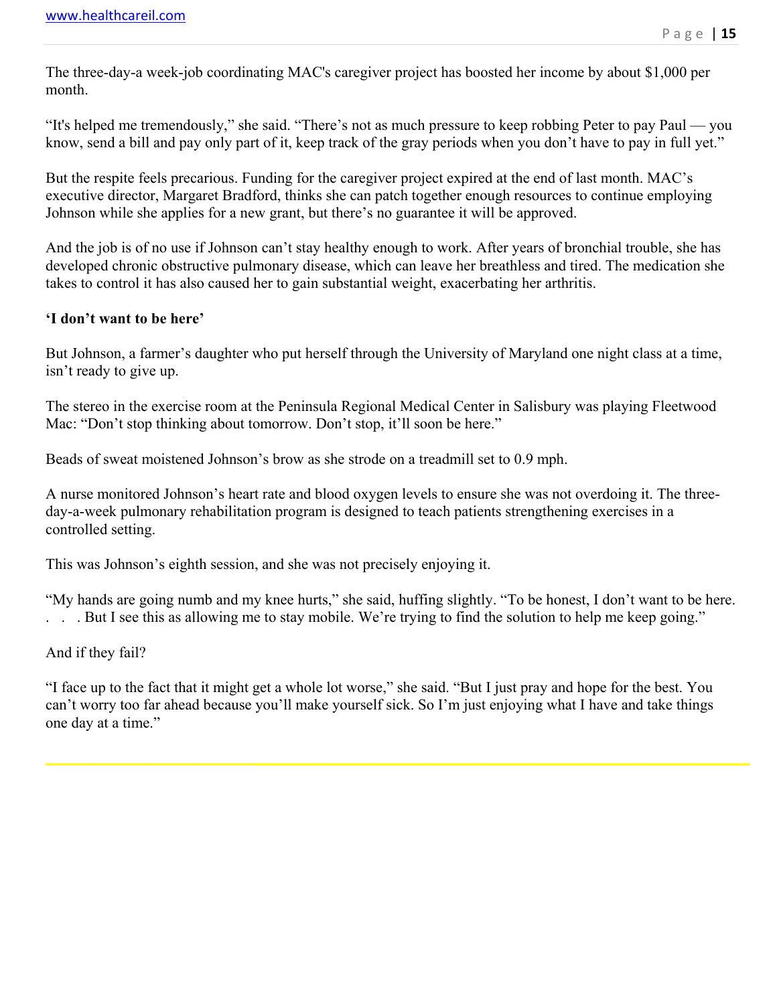The three-day-a week-job coordinating MAC's caregiver project has boosted her income by about \$1,000 per month.

"It's helped me tremendously," she said. "There's not as much pressure to keep robbing Peter to pay Paul — you know, send a bill and pay only part of it, keep track of the gray periods when you don't have to pay in full yet."

But the respite feels precarious. Funding for the caregiver project expired at the end of last month. MAC's executive director, Margaret Bradford, thinks she can patch together enough resources to continue employing Johnson while she applies for a new grant, but there's no guarantee it will be approved.

And the job is of no use if Johnson can't stay healthy enough to work. After years of bronchial trouble, she has developed chronic obstructive pulmonary disease, which can leave her breathless and tired. The medication she takes to control it has also caused her to gain substantial weight, exacerbating her arthritis.

## **'I don't want to be here'**

But Johnson, a farmer's daughter who put herself through the University of Maryland one night class at a time, isn't ready to give up.

The stereo in the exercise room at the Peninsula Regional Medical Center in Salisbury was playing Fleetwood Mac: "Don't stop thinking about tomorrow. Don't stop, it'll soon be here."

Beads of sweat moistened Johnson's brow as she strode on a treadmill set to 0.9 mph.

A nurse monitored Johnson's heart rate and blood oxygen levels to ensure she was not overdoing it. The threeday-a-week pulmonary rehabilitation program is designed to teach patients strengthening exercises in a controlled setting.

This was Johnson's eighth session, and she was not precisely enjoying it.

"My hands are going numb and my knee hurts," she said, huffing slightly. "To be honest, I don't want to be here. ... But I see this as allowing me to stay mobile. We're trying to find the solution to help me keep going."

## And if they fail?

"I face up to the fact that it might get a whole lot worse," she said. "But I just pray and hope for the best. You can't worry too far ahead because you'll make yourself sick. So I'm just enjoying what I have and take things one day at a time."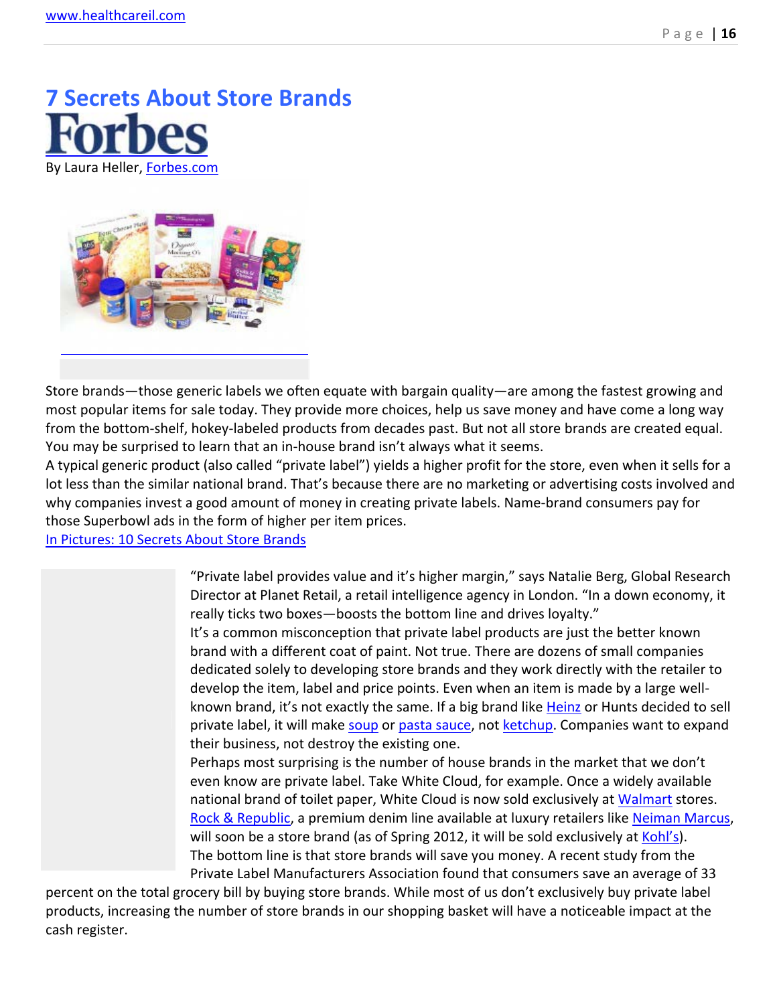# **7 Secrets About Store Brands**  By Laura Heller, Forbes.com



Store brands—those generic labels we often equate with bargain quality—are among the fastest growing and most popular items for sale today. They provide more choices, help us save money and have come a long way from the bottom-shelf, hokey-labeled products from decades past. But not all store brands are created equal. You may be surprised to learn that an in‐house brand isn't always what it seems.

A typical generic product (also called "private label") yields a higher profit for the store, even when it sells for a lot less than the similar national brand. That's because there are no marketing or advertising costs involved and why companies invest a good amount of money in creating private labels. Name‐brand consumers pay for those Superbowl ads in the form of higher per item prices.

### In Pictures: 10 Secrets About Store Brands

"Private label provides value and it's higher margin," says Natalie Berg, Global Research Director at Planet Retail, a retail intelligence agency in London. "In a down economy, it really ticks two boxes—boosts the bottom line and drives loyalty."

It's a common misconception that private label products are just the better known brand with a different coat of paint. Not true. There are dozens of small companies dedicated solely to developing store brands and they work directly with the retailer to develop the item, label and price points. Even when an item is made by a large well‐ known brand, it's not exactly the same. If a big brand like Heinz or Hunts decided to sell private label, it will make soup or pasta sauce, not ketchup. Companies want to expand their business, not destroy the existing one.

Perhaps most surprising is the number of house brands in the market that we don't even know are private label. Take White Cloud, for example. Once a widely available national brand of toilet paper, White Cloud is now sold exclusively at Walmart stores. Rock & Republic, a premium denim line available at luxury retailers like Neiman Marcus, will soon be a store brand (as of Spring 2012, it will be sold exclusively at Kohl's). The bottom line is that store brands will save you money. A recent study from the Private Label Manufacturers Association found that consumers save an average of 33

percent on the total grocery bill by buying store brands. While most of us don't exclusively buy private label products, increasing the number of store brands in our shopping basket will have a noticeable impact at the cash register.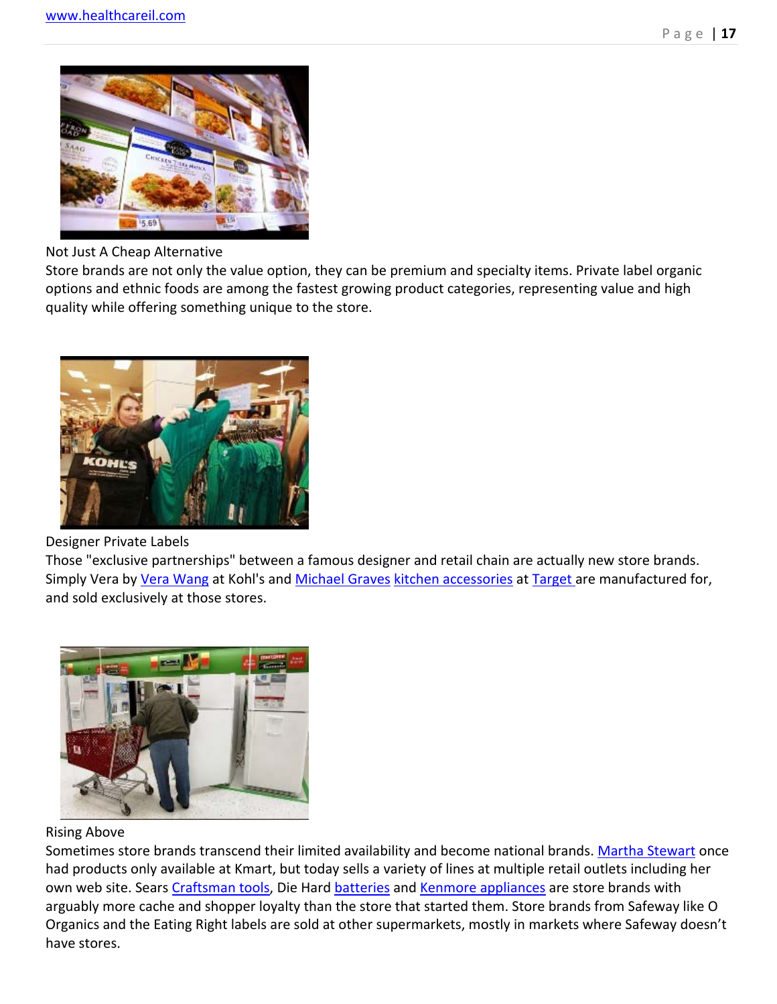

## Not Just A Cheap Alternative

Store brands are not only the value option, they can be premium and specialty items. Private label organic options and ethnic foods are among the fastest growing product categories, representing value and high quality while offering something unique to the store.



## Designer Private Labels

Those "exclusive partnerships" between a famous designer and retail chain are actually new store brands. Simply Vera by Vera Wang at Kohl's and Michael Graves kitchen accessories at Target are manufactured for, and sold exclusively at those stores.



### Rising Above

Sometimes store brands transcend their limited availability and become national brands. Martha Stewart once had products only available at Kmart, but today sells a variety of lines at multiple retail outlets including her own web site. Sears Craftsman tools, Die Hard batteries and Kenmore appliances are store brands with arguably more cache and shopper loyalty than the store that started them. Store brands from Safeway like O Organics and the Eating Right labels are sold at other supermarkets, mostly in markets where Safeway doesn't have stores.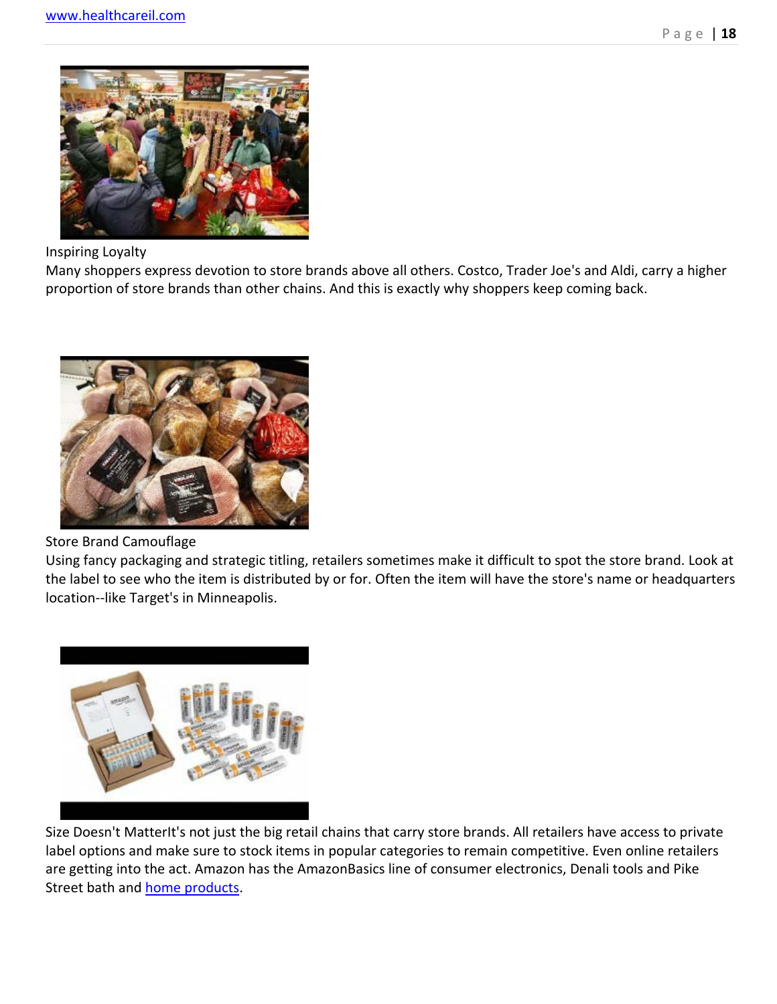

Inspiring Loyalty

Many shoppers express devotion to store brands above all others. Costco, Trader Joe's and Aldi, carry a higher proportion of store brands than other chains. And this is exactly why shoppers keep coming back.



## Store Brand Camouflage

Using fancy packaging and strategic titling, retailers sometimes make it difficult to spot the store brand. Look at the label to see who the item is distributed by or for. Often the item will have the store's name or headquarters location‐‐like Target's in Minneapolis.



Size Doesn't MatterIt's not just the big retail chains that carry store brands. All retailers have access to private label options and make sure to stock items in popular categories to remain competitive. Even online retailers are getting into the act. Amazon has the AmazonBasics line of consumer electronics, Denali tools and Pike Street bath and home products.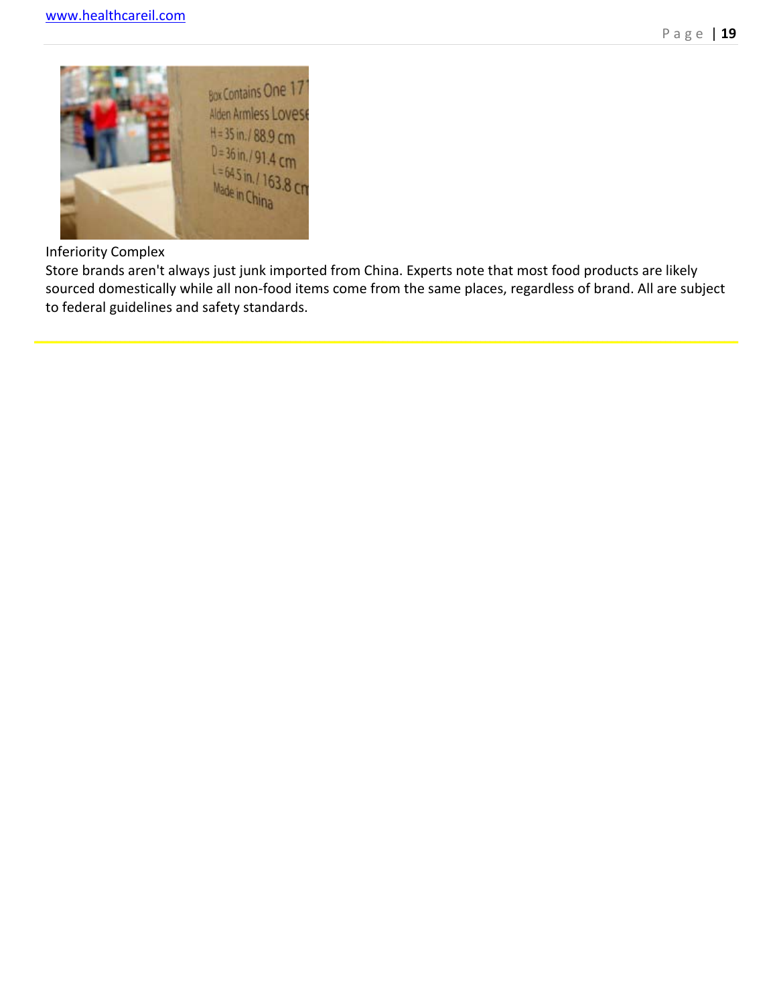

Inferiority Complex

Store brands aren't always just junk imported from China. Experts note that most food products are likely sourced domestically while all non‐food items come from the same places, regardless of brand. All are subject to federal guidelines and safety standards.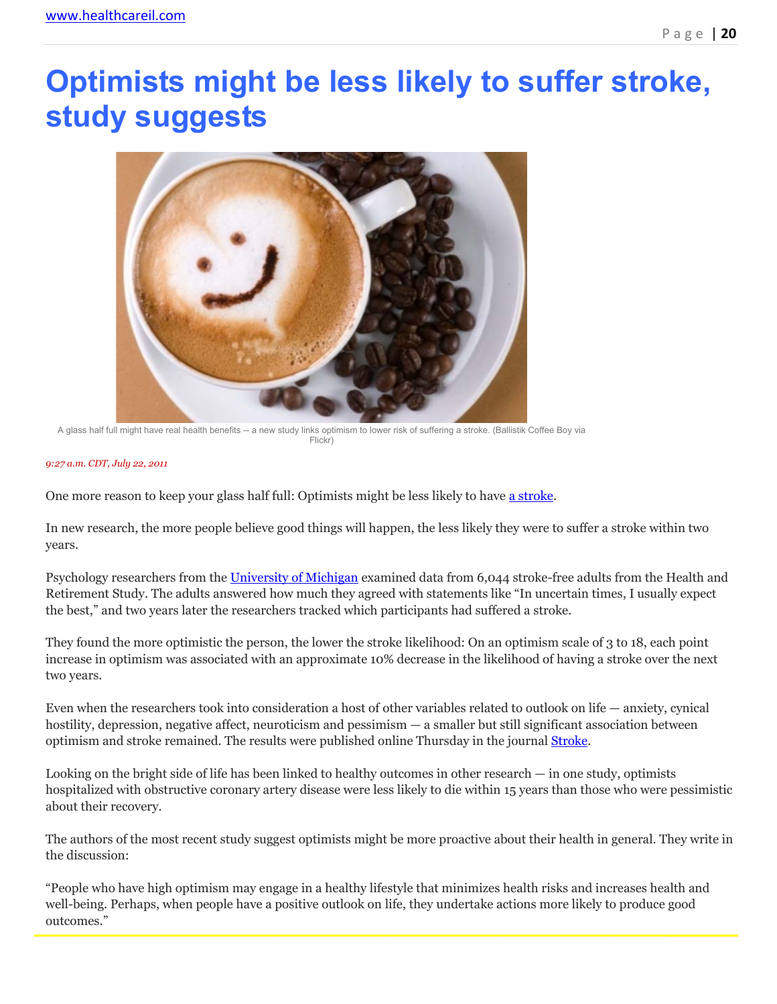# **Optimists might be less likely to suffer stroke, study suggests**



A glass half full might have real health benefits -- a new study links optimism to lower risk of suffering a stroke. (Ballistik Coffee Boy via Flickr)

#### *9:27 a.m. CDT, July 22, 2011*

One more reason to keep your glass half full: Optimists might be less likely to have a stroke.

In new research, the more people believe good things will happen, the less likely they were to suffer a stroke within two years.

Psychology researchers from the University of Michigan examined data from 6,044 stroke-free adults from the Health and Retirement Study. The adults answered how much they agreed with statements like "In uncertain times, I usually expect the best," and two years later the researchers tracked which participants had suffered a stroke.

They found the more optimistic the person, the lower the stroke likelihood: On an optimism scale of 3 to 18, each point increase in optimism was associated with an approximate 10% decrease in the likelihood of having a stroke over the next two years.

Even when the researchers took into consideration a host of other variables related to outlook on life — anxiety, cynical hostility, depression, negative affect, neuroticism and pessimism — a smaller but still significant association between optimism and stroke remained. The results were published online Thursday in the journal Stroke.

Looking on the bright side of life has been linked to healthy outcomes in other research — in one study, optimists hospitalized with obstructive coronary artery disease were less likely to die within 15 years than those who were pessimistic about their recovery.

The authors of the most recent study suggest optimists might be more proactive about their health in general. They write in the discussion:

"People who have high optimism may engage in a healthy lifestyle that minimizes health risks and increases health and well-being. Perhaps, when people have a positive outlook on life, they undertake actions more likely to produce good outcomes."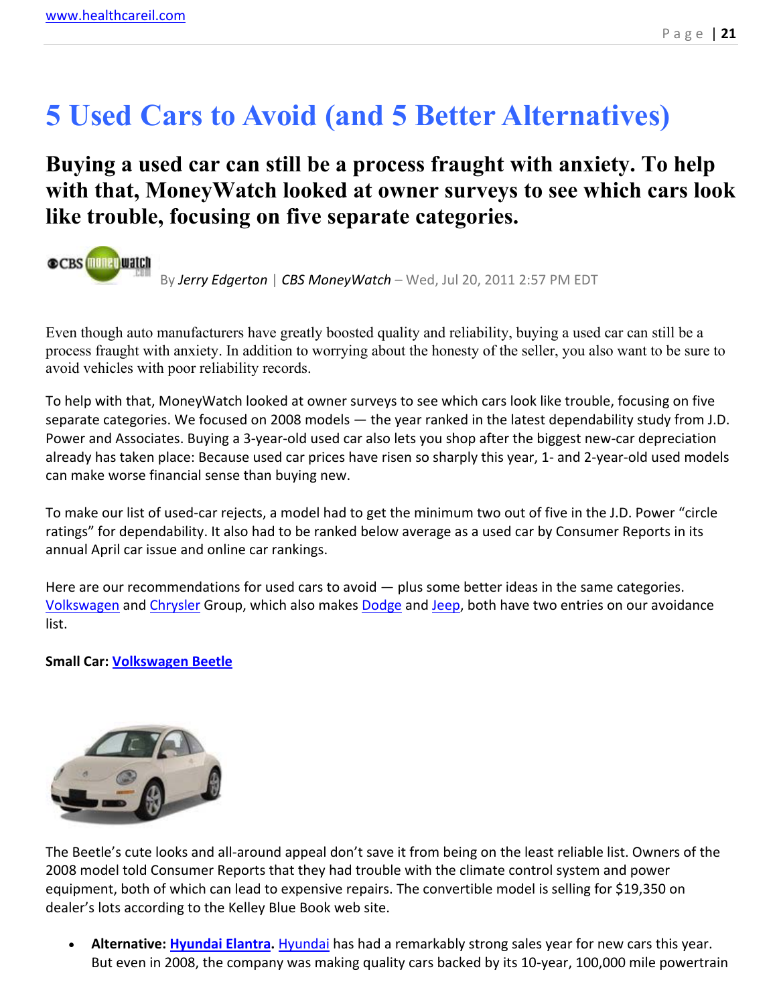# **5 Used Cars to Avoid (and 5 Better Alternatives)**

# **Buying a used car can still be a process fraught with anxiety. To help with that, MoneyWatch looked at owner surveys to see which cars look like trouble, focusing on five separate categories.**



By *Jerry Edgerton* | *CBS MoneyWatch* – Wed, Jul 20, 2011 2:57 PM EDT

Even though auto manufacturers have greatly boosted quality and reliability, buying a used car can still be a process fraught with anxiety. In addition to worrying about the honesty of the seller, you also want to be sure to avoid vehicles with poor reliability records.

To help with that, MoneyWatch looked at owner surveys to see which cars look like trouble, focusing on five separate categories. We focused on 2008 models — the year ranked in the latest dependability study from J.D. Power and Associates. Buying a 3‐year‐old used car also lets you shop after the biggest new‐car depreciation already has taken place: Because used car prices have risen so sharply this year, 1‐ and 2‐year‐old used models can make worse financial sense than buying new.

To make our list of used‐car rejects, a model had to get the minimum two out of five in the J.D. Power "circle ratings" for dependability. It also had to be ranked below average as a used car by Consumer Reports in its annual April car issue and online car rankings.

Here are our recommendations for used cars to avoid  $-$  plus some better ideas in the same categories. Volkswagen and Chrysler Group, which also makes Dodge and Jeep, both have two entries on our avoidance list.

## **Small Car: Volkswagen Beetle**



The Beetle's cute looks and all‐around appeal don't save it from being on the least reliable list. Owners of the 2008 model told Consumer Reports that they had trouble with the climate control system and power equipment, both of which can lead to expensive repairs. The convertible model is selling for \$19,350 on dealer's lots according to the Kelley Blue Book web site.

Alternative: **Hyundai Elantra**. Hyundai has had a remarkably strong sales year for new cars this year. But even in 2008, the company was making quality cars backed by its 10‐year, 100,000 mile powertrain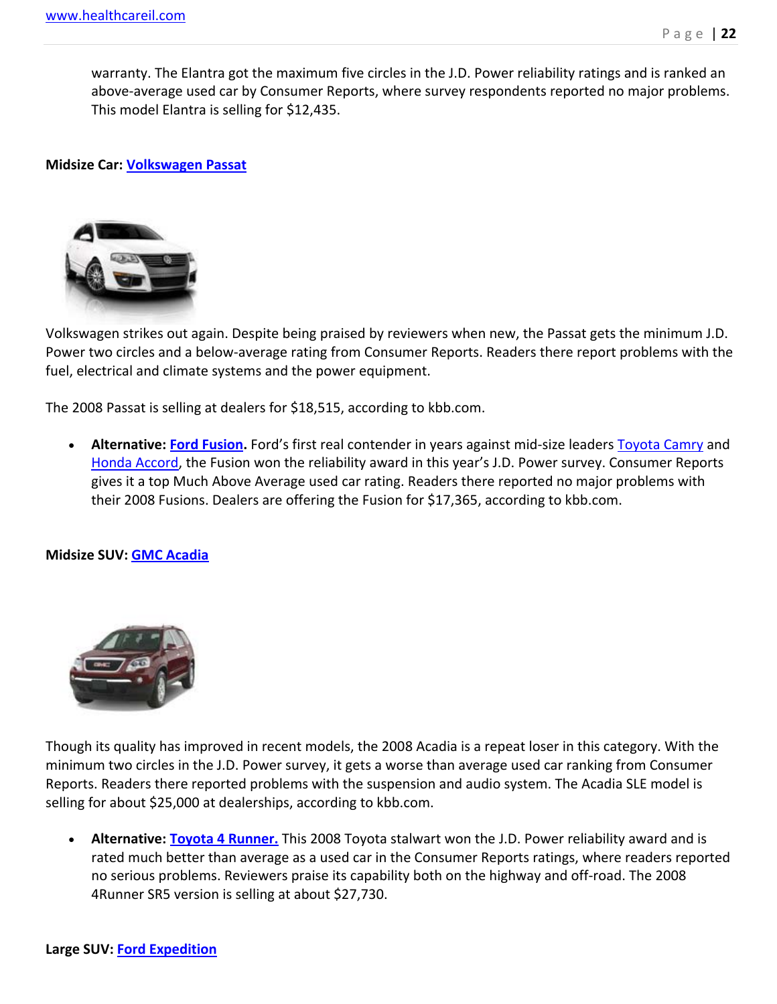warranty. The Elantra got the maximum five circles in the J.D. Power reliability ratings and is ranked an above-average used car by Consumer Reports, where survey respondents reported no major problems. This model Elantra is selling for \$12,435.

**Midsize Car: Volkswagen Passat**



Volkswagen strikes out again. Despite being praised by reviewers when new, the Passat gets the minimum J.D. Power two circles and a below‐average rating from Consumer Reports. Readers there report problems with the fuel, electrical and climate systems and the power equipment.

The 2008 Passat is selling at dealers for \$18,515, according to kbb.com.

• **Alternative: Ford Fusion.** Ford's first real contender in years against mid‐size leaders Toyota Camry and Honda Accord, the Fusion won the reliability award in this year's J.D. Power survey. Consumer Reports gives it a top Much Above Average used car rating. Readers there reported no major problems with their 2008 Fusions. Dealers are offering the Fusion for \$17,365, according to kbb.com.

### **Midsize SUV: GMC Acadia**



Though its quality has improved in recent models, the 2008 Acadia is a repeat loser in this category. With the minimum two circles in the J.D. Power survey, it gets a worse than average used car ranking from Consumer Reports. Readers there reported problems with the suspension and audio system. The Acadia SLE model is selling for about \$25,000 at dealerships, according to kbb.com.

• **Alternative: Toyota 4 Runner.** This 2008 Toyota stalwart won the J.D. Power reliability award and is rated much better than average as a used car in the Consumer Reports ratings, where readers reported no serious problems. Reviewers praise its capability both on the highway and off‐road. The 2008 4Runner SR5 version is selling at about \$27,730.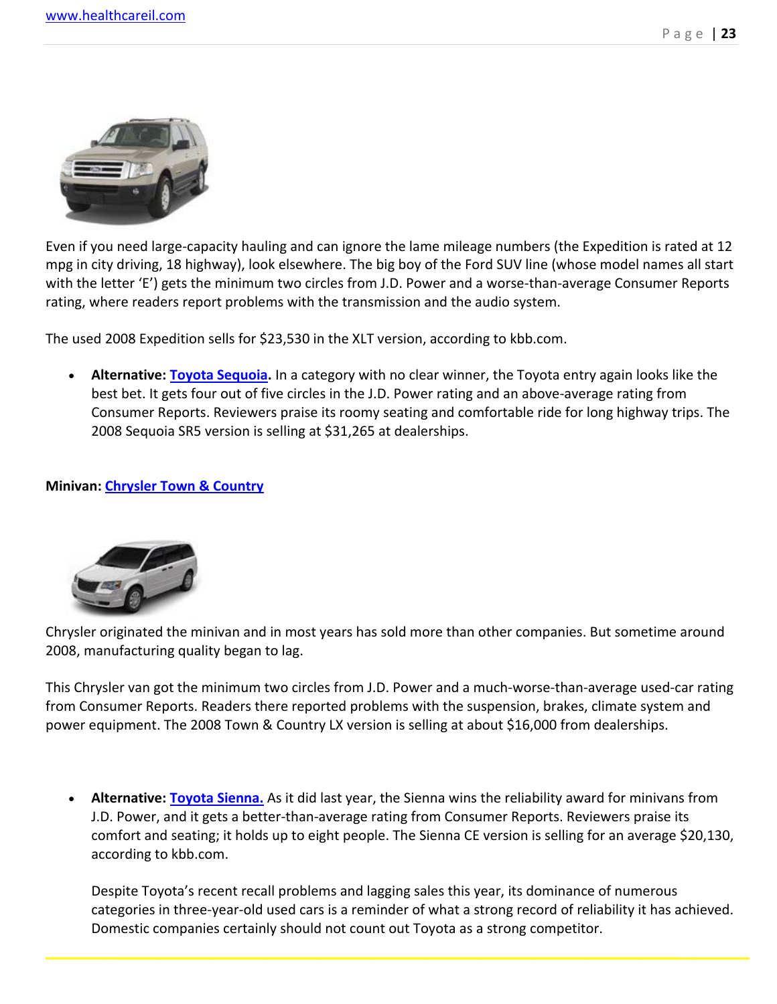

Even if you need large‐capacity hauling and can ignore the lame mileage numbers (the Expedition is rated at 12 mpg in city driving, 18 highway), look elsewhere. The big boy of the Ford SUV line (whose model names all start with the letter 'E') gets the minimum two circles from J.D. Power and a worse-than-average Consumer Reports rating, where readers report problems with the transmission and the audio system.

The used 2008 Expedition sells for \$23,530 in the XLT version, according to kbb.com.

• **Alternative: Toyota Sequoia.** In a category with no clear winner, the Toyota entry again looks like the best bet. It gets four out of five circles in the J.D. Power rating and an above-average rating from Consumer Reports. Reviewers praise its roomy seating and comfortable ride for long highway trips. The 2008 Sequoia SR5 version is selling at \$31,265 at dealerships.

### **Minivan: Chrysler Town & Country**



Chrysler originated the minivan and in most years has sold more than other companies. But sometime around 2008, manufacturing quality began to lag.

This Chrysler van got the minimum two circles from J.D. Power and a much-worse-than-average used-car rating from Consumer Reports. Readers there reported problems with the suspension, brakes, climate system and power equipment. The 2008 Town & Country LX version is selling at about \$16,000 from dealerships.

• **Alternative: Toyota Sienna.** As it did last year, the Sienna wins the reliability award for minivans from J.D. Power, and it gets a better‐than‐average rating from Consumer Reports. Reviewers praise its comfort and seating; it holds up to eight people. The Sienna CE version is selling for an average \$20,130, according to kbb.com.

Despite Toyota's recent recall problems and lagging sales this year, its dominance of numerous categories in three‐year‐old used cars is a reminder of what a strong record of reliability it has achieved. Domestic companies certainly should not count out Toyota as a strong competitor.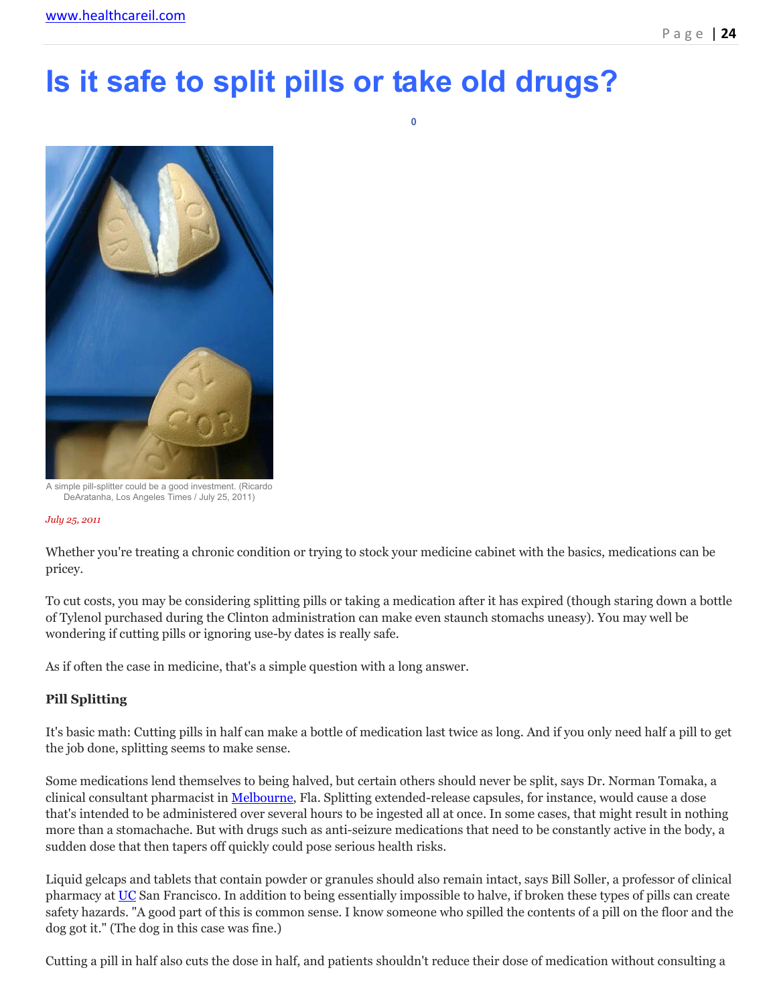# **Is it safe to split pills or take old drugs?**

**0** 



A simple pill-splitter could be a good investment. (Ricardo DeAratanha, Los Angeles Times / July 25, 2011)

#### *July 25, 2011*

Whether you're treating a chronic condition or trying to stock your medicine cabinet with the basics, medications can be pricey.

To cut costs, you may be considering splitting pills or taking a medication after it has expired (though staring down a bottle of Tylenol purchased during the Clinton administration can make even staunch stomachs uneasy). You may well be wondering if cutting pills or ignoring use-by dates is really safe.

As if often the case in medicine, that's a simple question with a long answer.

### **Pill Splitting**

It's basic math: Cutting pills in half can make a bottle of medication last twice as long. And if you only need half a pill to get the job done, splitting seems to make sense.

Some medications lend themselves to being halved, but certain others should never be split, says Dr. Norman Tomaka, a clinical consultant pharmacist in Melbourne, Fla. Splitting extended-release capsules, for instance, would cause a dose that's intended to be administered over several hours to be ingested all at once. In some cases, that might result in nothing more than a stomachache. But with drugs such as anti-seizure medications that need to be constantly active in the body, a sudden dose that then tapers off quickly could pose serious health risks.

Liquid gelcaps and tablets that contain powder or granules should also remain intact, says Bill Soller, a professor of clinical pharmacy at UC San Francisco. In addition to being essentially impossible to halve, if broken these types of pills can create safety hazards. "A good part of this is common sense. I know someone who spilled the contents of a pill on the floor and the dog got it." (The dog in this case was fine.)

Cutting a pill in half also cuts the dose in half, and patients shouldn't reduce their dose of medication without consulting a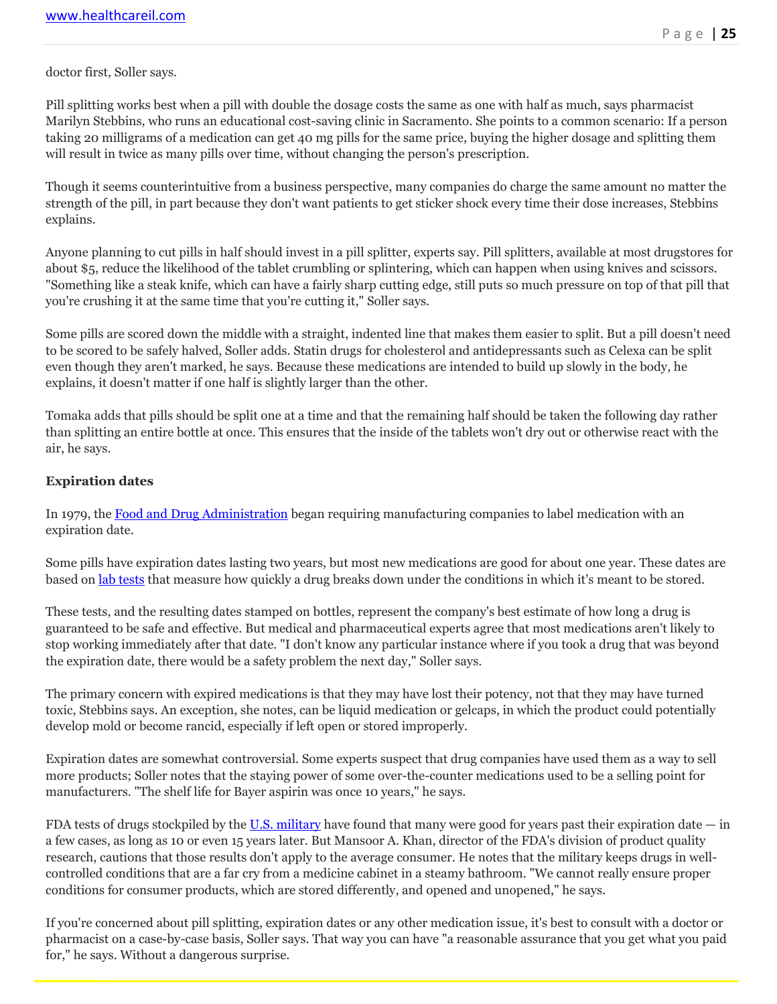doctor first, Soller says.

Pill splitting works best when a pill with double the dosage costs the same as one with half as much, says pharmacist Marilyn Stebbins, who runs an educational cost-saving clinic in Sacramento. She points to a common scenario: If a person taking 20 milligrams of a medication can get 40 mg pills for the same price, buying the higher dosage and splitting them will result in twice as many pills over time, without changing the person's prescription.

Though it seems counterintuitive from a business perspective, many companies do charge the same amount no matter the strength of the pill, in part because they don't want patients to get sticker shock every time their dose increases, Stebbins explains.

Anyone planning to cut pills in half should invest in a pill splitter, experts say. Pill splitters, available at most drugstores for about \$5, reduce the likelihood of the tablet crumbling or splintering, which can happen when using knives and scissors. "Something like a steak knife, which can have a fairly sharp cutting edge, still puts so much pressure on top of that pill that you're crushing it at the same time that you're cutting it," Soller says.

Some pills are scored down the middle with a straight, indented line that makes them easier to split. But a pill doesn't need to be scored to be safely halved, Soller adds. Statin drugs for cholesterol and antidepressants such as Celexa can be split even though they aren't marked, he says. Because these medications are intended to build up slowly in the body, he explains, it doesn't matter if one half is slightly larger than the other.

Tomaka adds that pills should be split one at a time and that the remaining half should be taken the following day rather than splitting an entire bottle at once. This ensures that the inside of the tablets won't dry out or otherwise react with the air, he says.

### **Expiration dates**

In 1979, the Food and Drug Administration began requiring manufacturing companies to label medication with an expiration date.

Some pills have expiration dates lasting two years, but most new medications are good for about one year. These dates are based on lab tests that measure how quickly a drug breaks down under the conditions in which it's meant to be stored.

These tests, and the resulting dates stamped on bottles, represent the company's best estimate of how long a drug is guaranteed to be safe and effective. But medical and pharmaceutical experts agree that most medications aren't likely to stop working immediately after that date. "I don't know any particular instance where if you took a drug that was beyond the expiration date, there would be a safety problem the next day," Soller says.

The primary concern with expired medications is that they may have lost their potency, not that they may have turned toxic, Stebbins says. An exception, she notes, can be liquid medication or gelcaps, in which the product could potentially develop mold or become rancid, especially if left open or stored improperly.

Expiration dates are somewhat controversial. Some experts suspect that drug companies have used them as a way to sell more products; Soller notes that the staying power of some over-the-counter medications used to be a selling point for manufacturers. "The shelf life for Bayer aspirin was once 10 years," he says.

FDA tests of drugs stockpiled by the U.S. military have found that many were good for years past their expiration date  $-$  in a few cases, as long as 10 or even 15 years later. But Mansoor A. Khan, director of the FDA's division of product quality research, cautions that those results don't apply to the average consumer. He notes that the military keeps drugs in wellcontrolled conditions that are a far cry from a medicine cabinet in a steamy bathroom. "We cannot really ensure proper conditions for consumer products, which are stored differently, and opened and unopened," he says.

If you're concerned about pill splitting, expiration dates or any other medication issue, it's best to consult with a doctor or pharmacist on a case-by-case basis, Soller says. That way you can have "a reasonable assurance that you get what you paid for," he says. Without a dangerous surprise.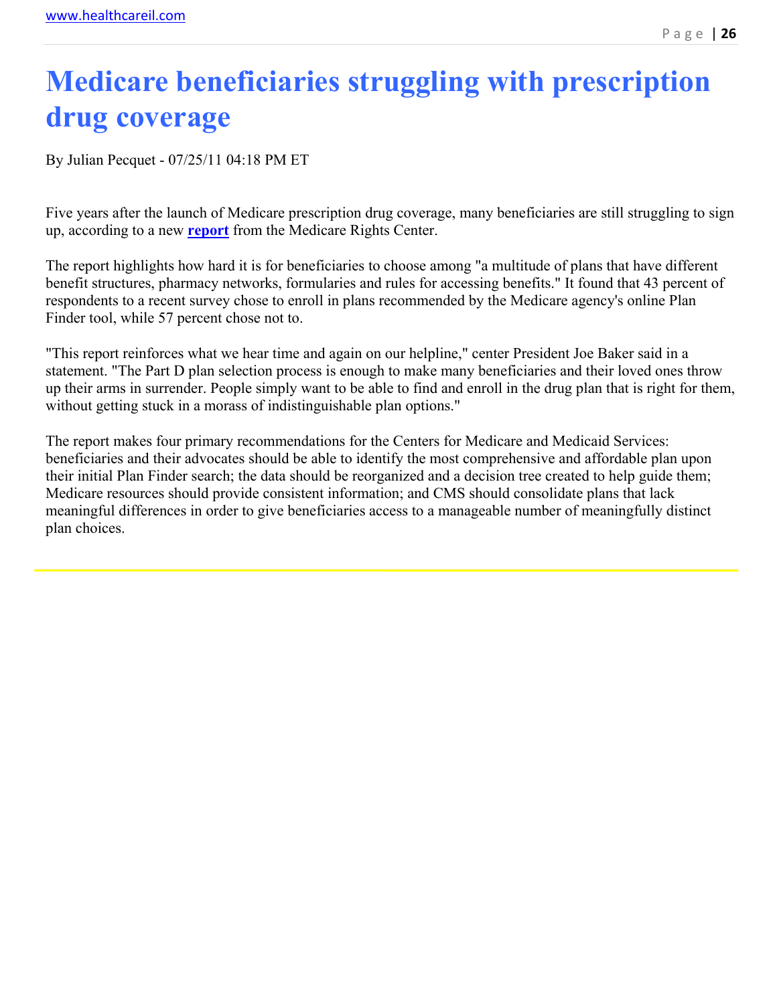# **Medicare beneficiaries struggling with prescription drug coverage**

By Julian Pecquet - 07/25/11 04:18 PM ET

Five years after the launch of Medicare prescription drug coverage, many beneficiaries are still struggling to sign up, according to a new **report** from the Medicare Rights Center.

The report highlights how hard it is for beneficiaries to choose among "a multitude of plans that have different benefit structures, pharmacy networks, formularies and rules for accessing benefits." It found that 43 percent of respondents to a recent survey chose to enroll in plans recommended by the Medicare agency's online Plan Finder tool, while 57 percent chose not to.

"This report reinforces what we hear time and again on our helpline," center President Joe Baker said in a statement. "The Part D plan selection process is enough to make many beneficiaries and their loved ones throw up their arms in surrender. People simply want to be able to find and enroll in the drug plan that is right for them, without getting stuck in a morass of indistinguishable plan options."

The report makes four primary recommendations for the Centers for Medicare and Medicaid Services: beneficiaries and their advocates should be able to identify the most comprehensive and affordable plan upon their initial Plan Finder search; the data should be reorganized and a decision tree created to help guide them; Medicare resources should provide consistent information; and CMS should consolidate plans that lack meaningful differences in order to give beneficiaries access to a manageable number of meaningfully distinct plan choices.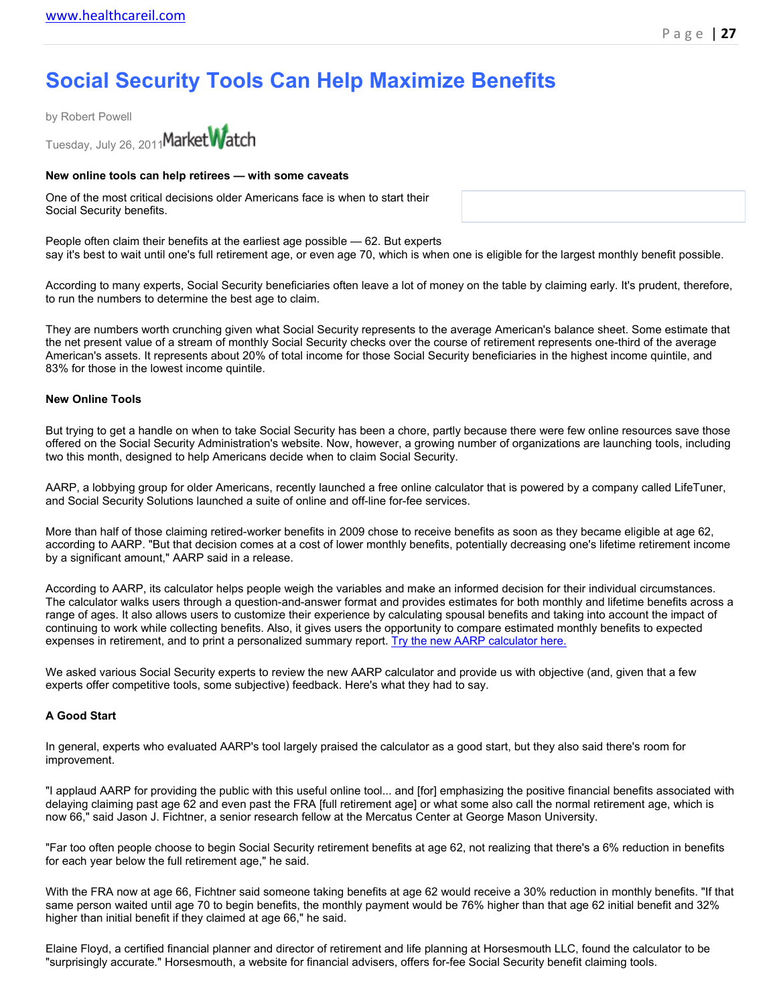# **Social Security Tools Can Help Maximize Benefits**

by Robert Powell



#### **New online tools can help retirees — with some caveats**

One of the most critical decisions older Americans face is when to start their Social Security benefits.

People often claim their benefits at the earliest age possible — 62. But experts say it's best to wait until one's full retirement age, or even age 70, which is when one is eligible for the largest monthly benefit possible.

According to many experts, Social Security beneficiaries often leave a lot of money on the table by claiming early. It's prudent, therefore, to run the numbers to determine the best age to claim.

They are numbers worth crunching given what Social Security represents to the average American's balance sheet. Some estimate that the net present value of a stream of monthly Social Security checks over the course of retirement represents one-third of the average American's assets. It represents about 20% of total income for those Social Security beneficiaries in the highest income quintile, and 83% for those in the lowest income quintile.

#### **New Online Tools**

But trying to get a handle on when to take Social Security has been a chore, partly because there were few online resources save those offered on the Social Security Administration's website. Now, however, a growing number of organizations are launching tools, including two this month, designed to help Americans decide when to claim Social Security.

AARP, a lobbying group for older Americans, recently launched a free online calculator that is powered by a company called LifeTuner, and Social Security Solutions launched a suite of online and off-line for-fee services.

More than half of those claiming retired-worker benefits in 2009 chose to receive benefits as soon as they became eligible at age 62, according to AARP. "But that decision comes at a cost of lower monthly benefits, potentially decreasing one's lifetime retirement income by a significant amount," AARP said in a release.

According to AARP, its calculator helps people weigh the variables and make an informed decision for their individual circumstances. The calculator walks users through a question-and-answer format and provides estimates for both monthly and lifetime benefits across a range of ages. It also allows users to customize their experience by calculating spousal benefits and taking into account the impact of continuing to work while collecting benefits. Also, it gives users the opportunity to compare estimated monthly benefits to expected expenses in retirement, and to print a personalized summary report. Try the new AARP calculator here.

We asked various Social Security experts to review the new AARP calculator and provide us with objective (and, given that a few experts offer competitive tools, some subjective) feedback. Here's what they had to say.

#### **A Good Start**

In general, experts who evaluated AARP's tool largely praised the calculator as a good start, but they also said there's room for improvement.

"I applaud AARP for providing the public with this useful online tool... and [for] emphasizing the positive financial benefits associated with delaying claiming past age 62 and even past the FRA [full retirement age] or what some also call the normal retirement age, which is now 66," said Jason J. Fichtner, a senior research fellow at the Mercatus Center at George Mason University.

"Far too often people choose to begin Social Security retirement benefits at age 62, not realizing that there's a 6% reduction in benefits for each year below the full retirement age," he said.

With the FRA now at age 66, Fichtner said someone taking benefits at age 62 would receive a 30% reduction in monthly benefits. "If that same person waited until age 70 to begin benefits, the monthly payment would be 76% higher than that age 62 initial benefit and 32% higher than initial benefit if they claimed at age 66," he said.

Elaine Floyd, a certified financial planner and director of retirement and life planning at Horsesmouth LLC, found the calculator to be "surprisingly accurate." Horsesmouth, a website for financial advisers, offers for-fee Social Security benefit claiming tools.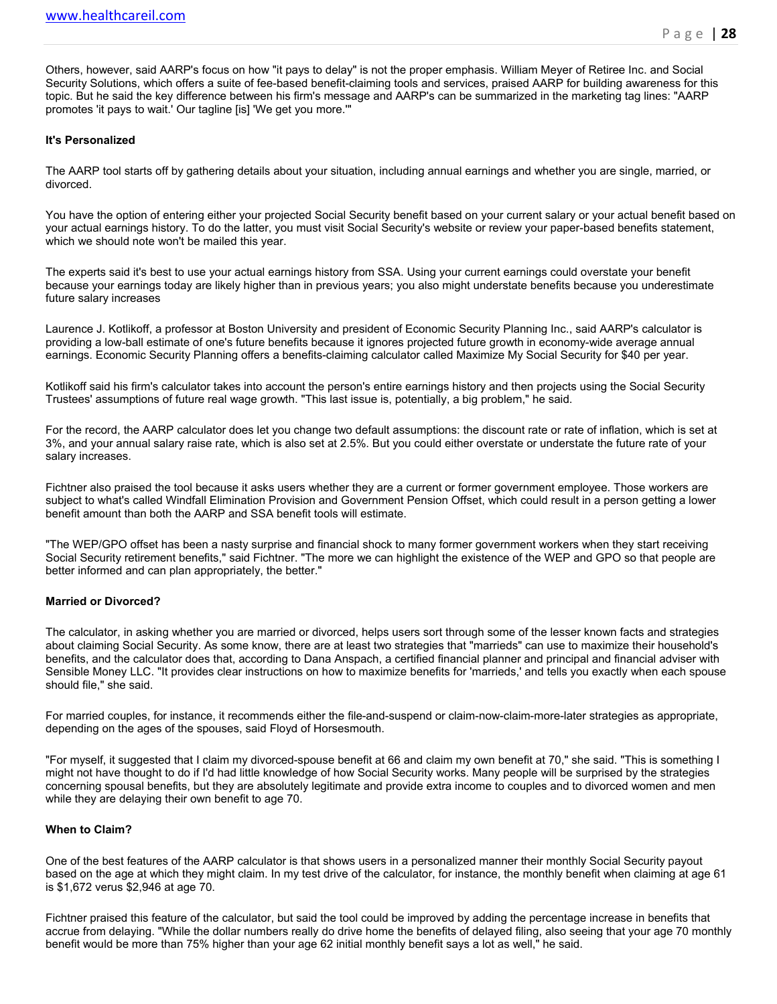Others, however, said AARP's focus on how "it pays to delay" is not the proper emphasis. William Meyer of Retiree Inc. and Social Security Solutions, which offers a suite of fee-based benefit-claiming tools and services, praised AARP for building awareness for this topic. But he said the key difference between his firm's message and AARP's can be summarized in the marketing tag lines: "AARP promotes 'it pays to wait.' Our tagline [is] 'We get you more.'"

#### **It's Personalized**

The AARP tool starts off by gathering details about your situation, including annual earnings and whether you are single, married, or divorced.

You have the option of entering either your projected Social Security benefit based on your current salary or your actual benefit based on your actual earnings history. To do the latter, you must visit Social Security's website or review your paper-based benefits statement, which we should note won't be mailed this year.

The experts said it's best to use your actual earnings history from SSA. Using your current earnings could overstate your benefit because your earnings today are likely higher than in previous years; you also might understate benefits because you underestimate future salary increases

Laurence J. Kotlikoff, a professor at Boston University and president of Economic Security Planning Inc., said AARP's calculator is providing a low-ball estimate of one's future benefits because it ignores projected future growth in economy-wide average annual earnings. Economic Security Planning offers a benefits-claiming calculator called Maximize My Social Security for \$40 per year.

Kotlikoff said his firm's calculator takes into account the person's entire earnings history and then projects using the Social Security Trustees' assumptions of future real wage growth. "This last issue is, potentially, a big problem," he said.

For the record, the AARP calculator does let you change two default assumptions: the discount rate or rate of inflation, which is set at 3%, and your annual salary raise rate, which is also set at 2.5%. But you could either overstate or understate the future rate of your salary increases.

Fichtner also praised the tool because it asks users whether they are a current or former government employee. Those workers are subject to what's called Windfall Elimination Provision and Government Pension Offset, which could result in a person getting a lower benefit amount than both the AARP and SSA benefit tools will estimate.

"The WEP/GPO offset has been a nasty surprise and financial shock to many former government workers when they start receiving Social Security retirement benefits," said Fichtner. "The more we can highlight the existence of the WEP and GPO so that people are better informed and can plan appropriately, the better."

#### **Married or Divorced?**

The calculator, in asking whether you are married or divorced, helps users sort through some of the lesser known facts and strategies about claiming Social Security. As some know, there are at least two strategies that "marrieds" can use to maximize their household's benefits, and the calculator does that, according to Dana Anspach, a certified financial planner and principal and financial adviser with Sensible Money LLC. "It provides clear instructions on how to maximize benefits for 'marrieds,' and tells you exactly when each spouse should file," she said.

For married couples, for instance, it recommends either the file-and-suspend or claim-now-claim-more-later strategies as appropriate, depending on the ages of the spouses, said Floyd of Horsesmouth.

"For myself, it suggested that I claim my divorced-spouse benefit at 66 and claim my own benefit at 70," she said. "This is something I might not have thought to do if I'd had little knowledge of how Social Security works. Many people will be surprised by the strategies concerning spousal benefits, but they are absolutely legitimate and provide extra income to couples and to divorced women and men while they are delaying their own benefit to age 70.

#### **When to Claim?**

One of the best features of the AARP calculator is that shows users in a personalized manner their monthly Social Security payout based on the age at which they might claim. In my test drive of the calculator, for instance, the monthly benefit when claiming at age 61 is \$1,672 verus \$2,946 at age 70.

Fichtner praised this feature of the calculator, but said the tool could be improved by adding the percentage increase in benefits that accrue from delaying. "While the dollar numbers really do drive home the benefits of delayed filing, also seeing that your age 70 monthly benefit would be more than 75% higher than your age 62 initial monthly benefit says a lot as well," he said.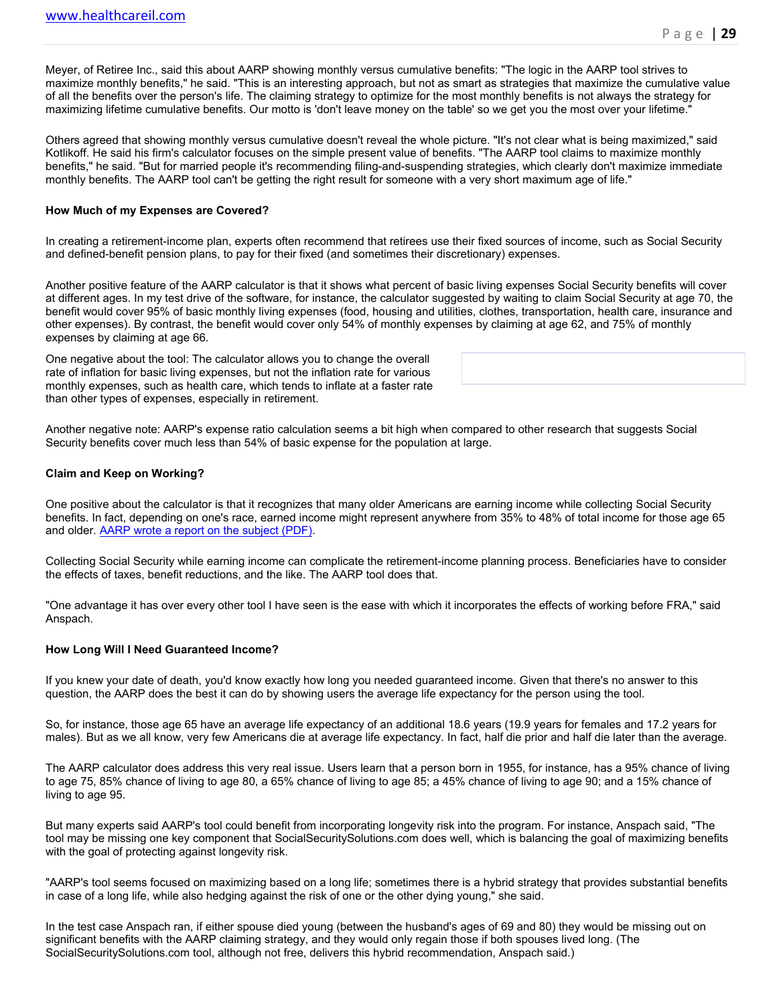Meyer, of Retiree Inc., said this about AARP showing monthly versus cumulative benefits: "The logic in the AARP tool strives to maximize monthly benefits," he said. "This is an interesting approach, but not as smart as strategies that maximize the cumulative value of all the benefits over the person's life. The claiming strategy to optimize for the most monthly benefits is not always the strategy for maximizing lifetime cumulative benefits. Our motto is 'don't leave money on the table' so we get you the most over your lifetime."

Others agreed that showing monthly versus cumulative doesn't reveal the whole picture. "It's not clear what is being maximized," said Kotlikoff. He said his firm's calculator focuses on the simple present value of benefits. "The AARP tool claims to maximize monthly benefits," he said. "But for married people it's recommending filing-and-suspending strategies, which clearly don't maximize immediate monthly benefits. The AARP tool can't be getting the right result for someone with a very short maximum age of life."

#### **How Much of my Expenses are Covered?**

In creating a retirement-income plan, experts often recommend that retirees use their fixed sources of income, such as Social Security and defined-benefit pension plans, to pay for their fixed (and sometimes their discretionary) expenses.

Another positive feature of the AARP calculator is that it shows what percent of basic living expenses Social Security benefits will cover at different ages. In my test drive of the software, for instance, the calculator suggested by waiting to claim Social Security at age 70, the benefit would cover 95% of basic monthly living expenses (food, housing and utilities, clothes, transportation, health care, insurance and other expenses). By contrast, the benefit would cover only 54% of monthly expenses by claiming at age 62, and 75% of monthly expenses by claiming at age 66.

One negative about the tool: The calculator allows you to change the overall rate of inflation for basic living expenses, but not the inflation rate for various monthly expenses, such as health care, which tends to inflate at a faster rate than other types of expenses, especially in retirement.

Another negative note: AARP's expense ratio calculation seems a bit high when compared to other research that suggests Social Security benefits cover much less than 54% of basic expense for the population at large.

#### **Claim and Keep on Working?**

One positive about the calculator is that it recognizes that many older Americans are earning income while collecting Social Security benefits. In fact, depending on one's race, earned income might represent anywhere from 35% to 48% of total income for those age 65 and older. AARP wrote a report on the subject (PDF).

Collecting Social Security while earning income can complicate the retirement-income planning process. Beneficiaries have to consider the effects of taxes, benefit reductions, and the like. The AARP tool does that.

"One advantage it has over every other tool I have seen is the ease with which it incorporates the effects of working before FRA," said Anspach.

#### **How Long Will I Need Guaranteed Income?**

If you knew your date of death, you'd know exactly how long you needed guaranteed income. Given that there's no answer to this question, the AARP does the best it can do by showing users the average life expectancy for the person using the tool.

So, for instance, those age 65 have an average life expectancy of an additional 18.6 years (19.9 years for females and 17.2 years for males). But as we all know, very few Americans die at average life expectancy. In fact, half die prior and half die later than the average.

The AARP calculator does address this very real issue. Users learn that a person born in 1955, for instance, has a 95% chance of living to age 75, 85% chance of living to age 80, a 65% chance of living to age 85; a 45% chance of living to age 90; and a 15% chance of living to age 95.

But many experts said AARP's tool could benefit from incorporating longevity risk into the program. For instance, Anspach said, "The tool may be missing one key component that SocialSecuritySolutions.com does well, which is balancing the goal of maximizing benefits with the goal of protecting against longevity risk.

"AARP's tool seems focused on maximizing based on a long life; sometimes there is a hybrid strategy that provides substantial benefits in case of a long life, while also hedging against the risk of one or the other dying young," she said.

In the test case Anspach ran, if either spouse died young (between the husband's ages of 69 and 80) they would be missing out on significant benefits with the AARP claiming strategy, and they would only regain those if both spouses lived long. (The SocialSecuritySolutions.com tool, although not free, delivers this hybrid recommendation, Anspach said.)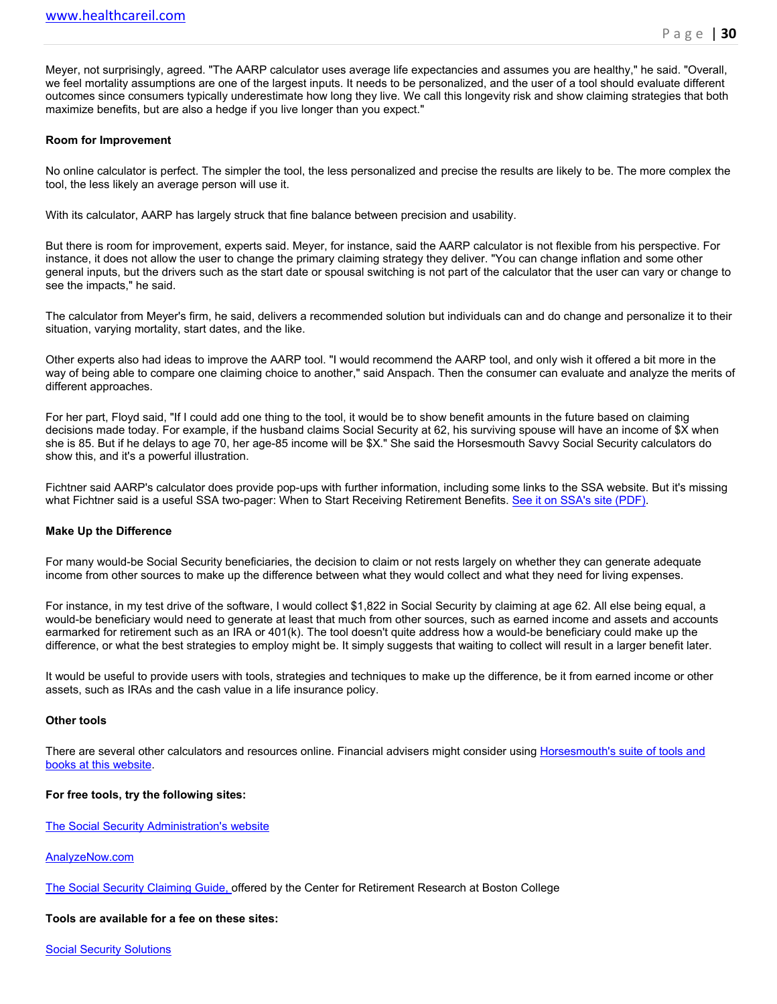Meyer, not surprisingly, agreed. "The AARP calculator uses average life expectancies and assumes you are healthy," he said. "Overall, we feel mortality assumptions are one of the largest inputs. It needs to be personalized, and the user of a tool should evaluate different outcomes since consumers typically underestimate how long they live. We call this longevity risk and show claiming strategies that both maximize benefits, but are also a hedge if you live longer than you expect."

#### **Room for Improvement**

No online calculator is perfect. The simpler the tool, the less personalized and precise the results are likely to be. The more complex the tool, the less likely an average person will use it.

With its calculator, AARP has largely struck that fine balance between precision and usability.

But there is room for improvement, experts said. Meyer, for instance, said the AARP calculator is not flexible from his perspective. For instance, it does not allow the user to change the primary claiming strategy they deliver. "You can change inflation and some other general inputs, but the drivers such as the start date or spousal switching is not part of the calculator that the user can vary or change to see the impacts," he said.

The calculator from Meyer's firm, he said, delivers a recommended solution but individuals can and do change and personalize it to their situation, varying mortality, start dates, and the like.

Other experts also had ideas to improve the AARP tool. "I would recommend the AARP tool, and only wish it offered a bit more in the way of being able to compare one claiming choice to another," said Anspach. Then the consumer can evaluate and analyze the merits of different approaches.

For her part, Floyd said, "If I could add one thing to the tool, it would be to show benefit amounts in the future based on claiming decisions made today. For example, if the husband claims Social Security at 62, his surviving spouse will have an income of \$X when she is 85. But if he delays to age 70, her age-85 income will be \$X." She said the Horsesmouth Savvy Social Security calculators do show this, and it's a powerful illustration.

Fichtner said AARP's calculator does provide pop-ups with further information, including some links to the SSA website. But it's missing what Fichtner said is a useful SSA two-pager: When to Start Receiving Retirement Benefits. See it on SSA's site (PDF).

#### **Make Up the Difference**

For many would-be Social Security beneficiaries, the decision to claim or not rests largely on whether they can generate adequate income from other sources to make up the difference between what they would collect and what they need for living expenses.

For instance, in my test drive of the software, I would collect \$1,822 in Social Security by claiming at age 62. All else being equal, a would-be beneficiary would need to generate at least that much from other sources, such as earned income and assets and accounts earmarked for retirement such as an IRA or 401(k). The tool doesn't quite address how a would-be beneficiary could make up the difference, or what the best strategies to employ might be. It simply suggests that waiting to collect will result in a larger benefit later.

It would be useful to provide users with tools, strategies and techniques to make up the difference, be it from earned income or other assets, such as IRAs and the cash value in a life insurance policy.

#### **Other tools**

There are several other calculators and resources online. Financial advisers might consider using Horsesmouth's suite of tools and books at this website.

#### **For free tools, try the following sites:**

The Social Security Administration's website

AnalyzeNow.com

The Social Security Claiming Guide, offered by the Center for Retirement Research at Boston College

**Tools are available for a fee on these sites:**

Social Security Solutions